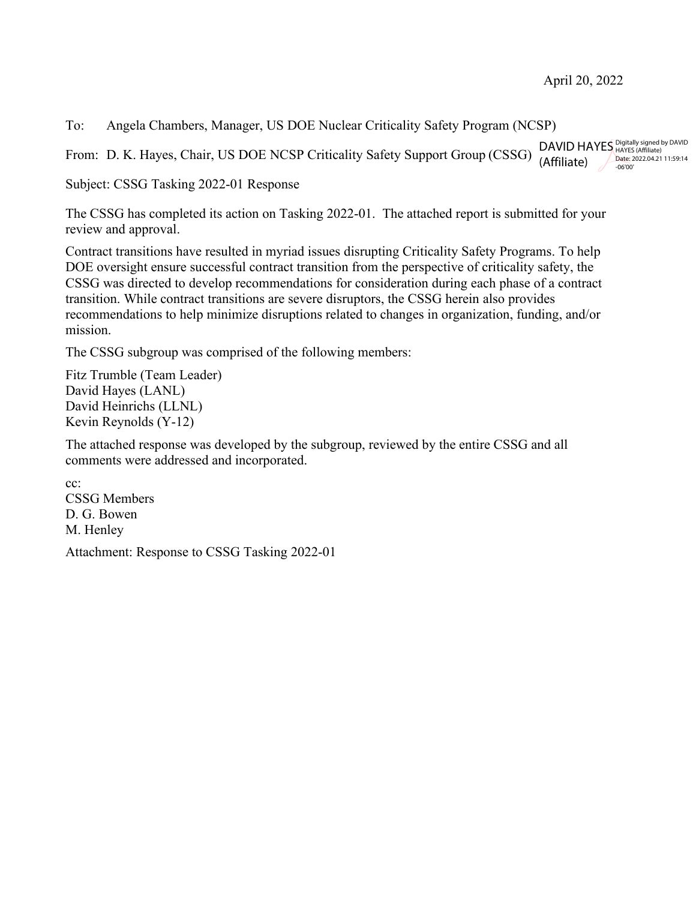To: Angela Chambers, Manager, US DOE Nuclear Criticality Safety Program (NCSP)

From: D. K. Hayes, Chair, US DOE NCSP Criticality Safety Support Group (CSSG) DAVID HAYES Digitally signed by DAVID (Affiliate) Date: 2022.04.21 11:59:14 -06'00'

Subject: CSSG Tasking 2022-01 Response

The CSSG has completed its action on Tasking 2022-01. The attached report is submitted for your review and approval.

Contract transitions have resulted in myriad issues disrupting Criticality Safety Programs. To help DOE oversight ensure successful contract transition from the perspective of criticality safety, the CSSG was directed to develop recommendations for consideration during each phase of a contract transition. While contract transitions are severe disruptors, the CSSG herein also provides recommendations to help minimize disruptions related to changes in organization, funding, and/or mission.

The CSSG subgroup was comprised of the following members:

Fitz Trumble (Team Leader) David Hayes (LANL) David Heinrichs (LLNL) Kevin Reynolds (Y-12)

The attached response was developed by the subgroup, reviewed by the entire CSSG and all comments were addressed and incorporated.

cc: CSSG Members D. G. Bowen M. Henley

Attachment: Response to CSSG Tasking 2022-01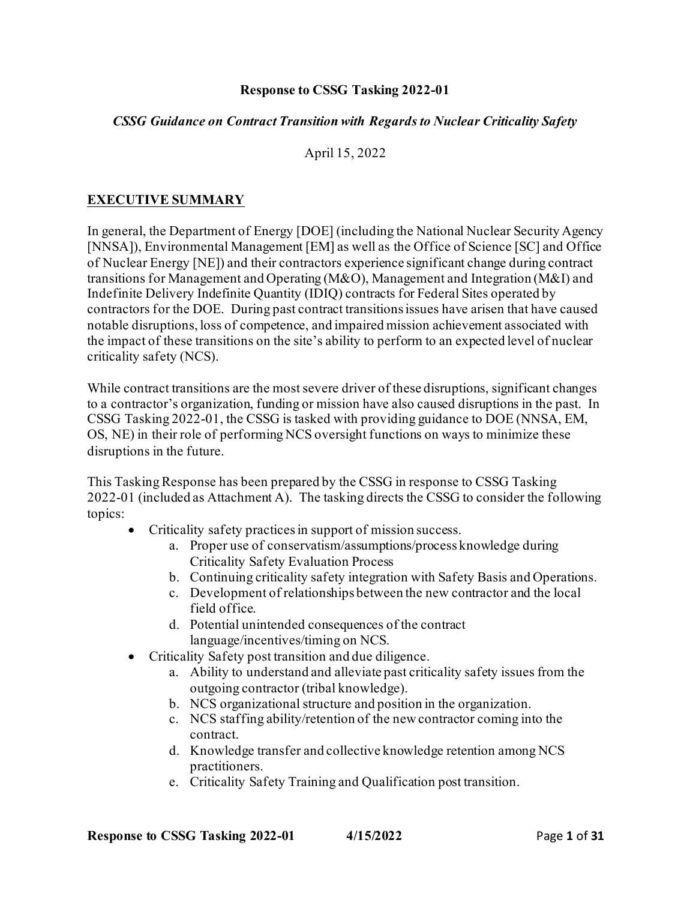## **Response to CSSG Tasking 2022-01**

### *CSSG Guidance on Contract Transition with Regards to Nuclear Criticality Safety*

April 15, 2022

# **EXECUTIVE SUMMARY**

In general, the Department of Energy [DOE] (including the National Nuclear Security Agency [NNSA]), Environmental Management [EM] as well as the Office of Science [SC] and Office of Nuclear Energy [NE]) and their contractors experience significant change during contract transitions for Management and Operating (M&O), Management and Integration (M&I) and Indefinite Delivery Indefinite Quantity (IDIQ) contracts for Federal Sites operated by contractors for the DOE. During past contract transitions issues have arisen that have caused notable disruptions, loss of competence, and impaired mission achievement associated with the impact of these transitions on the site's ability to perform to an expected level of nuclear criticality safety (NCS).

While contract transitions are the most severe driver of these disruptions, significant changes to a contractor's organization, funding or mission have also caused disruptions in the past. In CSSG Tasking 2022-01, the CSSG is tasked with providing guidance to DOE (NNSA, EM, OS, NE) in their role of performing NCS oversight functions on ways to minimize these disruptions in the future.

This Tasking Response has been prepared by the CSSG in response to CSSG Tasking 2022-01 (included as Attachment A). The tasking directs the CSSG to consider the following topics:

- Criticality safety practices in support of mission success.
	- a. Proper use of conservatism/assumptions/process knowledge during Criticality Safety Evaluation Process
	- b. Continuing criticality safety integration with Safety Basis and Operations.
	- c. Development of relationships between the new contractor and the local field office.
	- d. Potential unintended consequences of the contract language/incentives/timing on NCS.
- Criticality Safety post transition and due diligence.
	- a. Ability to understand and alleviate past criticality safety issues from the outgoing contractor (tribal knowledge).
	- b. NCS organizational structure and position in the organization.
	- c. NCS staffing ability/retention of the new contractor coming into the contract.
	- d. Knowledge transfer and collective knowledge retention among NCS practitioners.
	- e. Criticality Safety Training and Qualification post transition.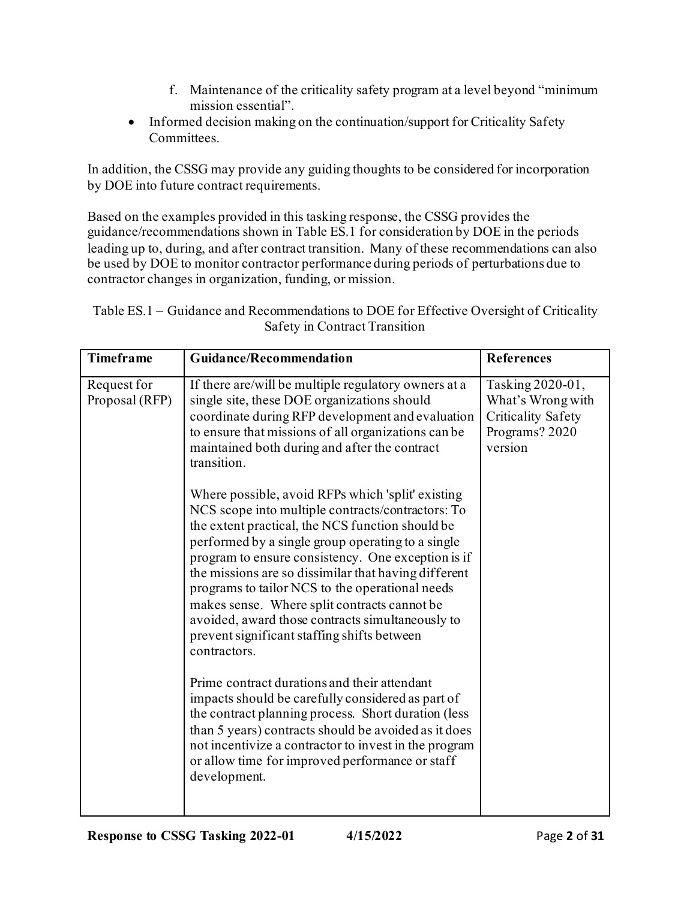- f. Maintenance of the criticality safety program at a level beyond "minimum mission essential".
- Informed decision making on the continuation/support for Criticality Safety Committees.

In addition, the CSSG may provide any guiding thoughts to be considered for incorporation by DOE into future contract requirements.

Based on the examples provided in this tasking response, the CSSG provides the guidance/recommendations shown in Table ES.1 for consideration by DOE in the periods leading up to, during, and after contract transition. Many of these recommendations can also be used by DOE to monitor contractor performance during periods of perturbations due to contractor changes in organization, funding, or mission.

| Table ES.1 - Guidance and Recommendations to DOE for Effective Oversight of Criticality |
|-----------------------------------------------------------------------------------------|
| Safety in Contract Transition                                                           |

| <b>Timeframe</b>              | <b>Guidance/Recommendation</b>                                                                                                                                                                                                                                                                                                                                                                                                                                                                                                                                                                                                                                                                                                                                                                                                                                                                                                                                                                                                                                                                                                                                                        | <b>References</b>                                                                               |
|-------------------------------|---------------------------------------------------------------------------------------------------------------------------------------------------------------------------------------------------------------------------------------------------------------------------------------------------------------------------------------------------------------------------------------------------------------------------------------------------------------------------------------------------------------------------------------------------------------------------------------------------------------------------------------------------------------------------------------------------------------------------------------------------------------------------------------------------------------------------------------------------------------------------------------------------------------------------------------------------------------------------------------------------------------------------------------------------------------------------------------------------------------------------------------------------------------------------------------|-------------------------------------------------------------------------------------------------|
| Request for<br>Proposal (RFP) | If there are/will be multiple regulatory owners at a<br>single site, these DOE organizations should<br>coordinate during RFP development and evaluation<br>to ensure that missions of all organizations can be<br>maintained both during and after the contract<br>transition.<br>Where possible, avoid RFPs which 'split' existing<br>NCS scope into multiple contracts/contractors: To<br>the extent practical, the NCS function should be<br>performed by a single group operating to a single<br>program to ensure consistency. One exception is if<br>the missions are so dissimilar that having different<br>programs to tailor NCS to the operational needs<br>makes sense. Where split contracts cannot be<br>avoided, award those contracts simultaneously to<br>prevent significant staffing shifts between<br>contractors.<br>Prime contract durations and their attendant<br>impacts should be carefully considered as part of<br>the contract planning process. Short duration (less<br>than 5 years) contracts should be avoided as it does<br>not incentivize a contractor to invest in the program<br>or allow time for improved performance or staff<br>development. | Tasking 2020-01,<br>What's Wrong with<br><b>Criticality Safety</b><br>Programs? 2020<br>version |
|                               |                                                                                                                                                                                                                                                                                                                                                                                                                                                                                                                                                                                                                                                                                                                                                                                                                                                                                                                                                                                                                                                                                                                                                                                       |                                                                                                 |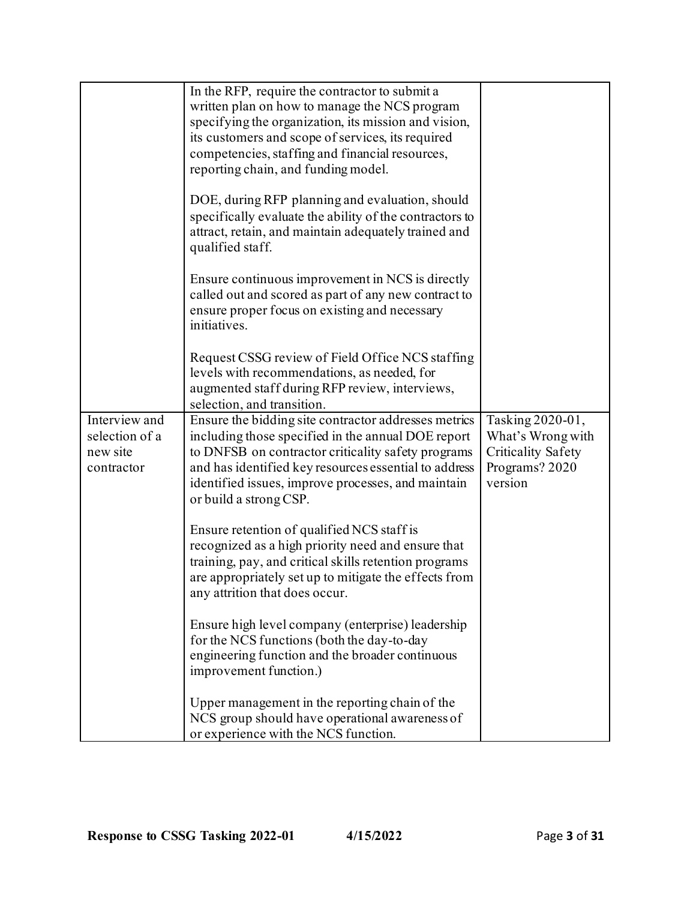|                                                           | In the RFP, require the contractor to submit a<br>written plan on how to manage the NCS program<br>specifying the organization, its mission and vision,<br>its customers and scope of services, its required<br>competencies, staffing and financial resources,<br>reporting chain, and funding model.    |                                                                                                 |
|-----------------------------------------------------------|-----------------------------------------------------------------------------------------------------------------------------------------------------------------------------------------------------------------------------------------------------------------------------------------------------------|-------------------------------------------------------------------------------------------------|
|                                                           | DOE, during RFP planning and evaluation, should<br>specifically evaluate the ability of the contractors to<br>attract, retain, and maintain adequately trained and<br>qualified staff.                                                                                                                    |                                                                                                 |
|                                                           | Ensure continuous improvement in NCS is directly<br>called out and scored as part of any new contract to<br>ensure proper focus on existing and necessary<br>initiatives.                                                                                                                                 |                                                                                                 |
|                                                           | Request CSSG review of Field Office NCS staffing<br>levels with recommendations, as needed, for<br>augmented staff during RFP review, interviews,<br>selection, and transition.                                                                                                                           |                                                                                                 |
| Interview and<br>selection of a<br>new site<br>contractor | Ensure the bidding site contractor addresses metrics<br>including those specified in the annual DOE report<br>to DNFSB on contractor criticality safety programs<br>and has identified key resources essential to address<br>identified issues, improve processes, and maintain<br>or build a strong CSP. | Tasking 2020-01,<br>What's Wrong with<br><b>Criticality Safety</b><br>Programs? 2020<br>version |
|                                                           | Ensure retention of qualified NCS staff is<br>recognized as a high priority need and ensure that<br>training, pay, and critical skills retention programs<br>are appropriately set up to mitigate the effects from<br>any attrition that does occur.                                                      |                                                                                                 |
|                                                           | Ensure high level company (enterprise) leadership<br>for the NCS functions (both the day-to-day<br>engineering function and the broader continuous<br>improvement function.)                                                                                                                              |                                                                                                 |
|                                                           | Upper management in the reporting chain of the<br>NCS group should have operational awareness of<br>or experience with the NCS function.                                                                                                                                                                  |                                                                                                 |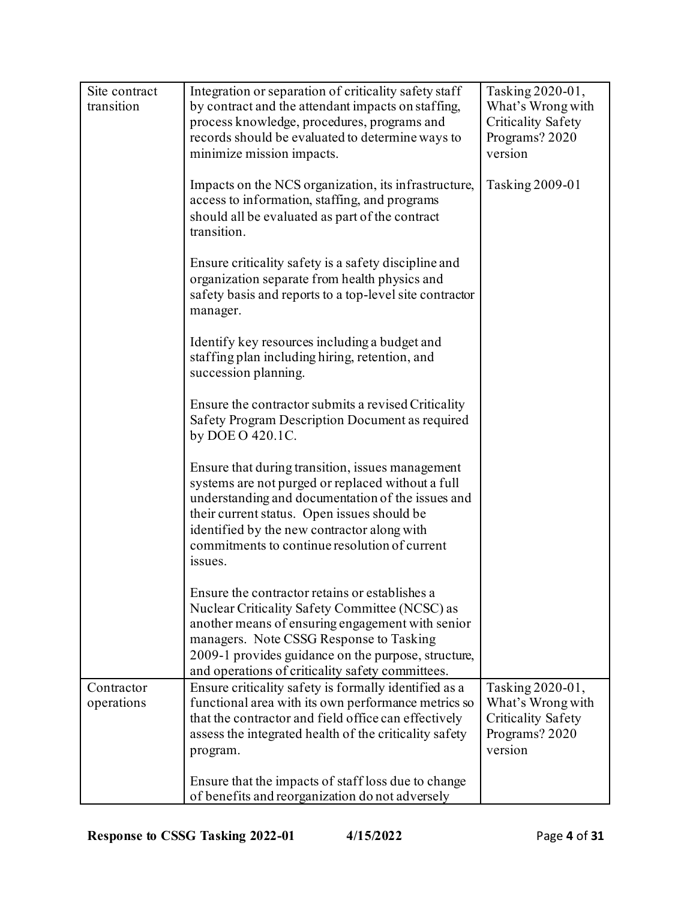| Site contract | Integration or separation of criticality safety staff                                                                                                                                                                                                                                                                | Tasking 2020-01,          |
|---------------|----------------------------------------------------------------------------------------------------------------------------------------------------------------------------------------------------------------------------------------------------------------------------------------------------------------------|---------------------------|
| transition    | by contract and the attendant impacts on staffing,                                                                                                                                                                                                                                                                   | What's Wrong with         |
|               | process knowledge, procedures, programs and                                                                                                                                                                                                                                                                          | <b>Criticality Safety</b> |
|               | records should be evaluated to determine ways to                                                                                                                                                                                                                                                                     | Programs? 2020            |
|               | minimize mission impacts.                                                                                                                                                                                                                                                                                            | version                   |
|               | Impacts on the NCS organization, its infrastructure,<br>access to information, staffing, and programs<br>should all be evaluated as part of the contract<br>transition.                                                                                                                                              | Tasking 2009-01           |
|               | Ensure criticality safety is a safety discipline and<br>organization separate from health physics and<br>safety basis and reports to a top-level site contractor<br>manager.                                                                                                                                         |                           |
|               | Identify key resources including a budget and<br>staffing plan including hiring, retention, and<br>succession planning.                                                                                                                                                                                              |                           |
|               | Ensure the contractor submits a revised Criticality<br>Safety Program Description Document as required<br>by DOE O 420.1C.                                                                                                                                                                                           |                           |
|               | Ensure that during transition, issues management<br>systems are not purged or replaced without a full<br>understanding and documentation of the issues and<br>their current status. Open issues should be<br>identified by the new contractor along with<br>commitments to continue resolution of current<br>issues. |                           |
|               | Ensure the contractor retains or establishes a<br>Nuclear Criticality Safety Committee (NCSC) as<br>another means of ensuring engagement with senior<br>managers. Note CSSG Response to Tasking<br>2009-1 provides guidance on the purpose, structure,<br>and operations of criticality safety committees.           |                           |
| Contractor    | Ensure criticality safety is formally identified as a                                                                                                                                                                                                                                                                | Tasking 2020-01,          |
| operations    | functional area with its own performance metrics so                                                                                                                                                                                                                                                                  | What's Wrong with         |
|               | that the contractor and field office can effectively                                                                                                                                                                                                                                                                 | <b>Criticality Safety</b> |
|               | assess the integrated health of the criticality safety                                                                                                                                                                                                                                                               | Programs? 2020            |
|               | program.                                                                                                                                                                                                                                                                                                             | version                   |
|               | Ensure that the impacts of staff loss due to change<br>of benefits and reorganization do not adversely                                                                                                                                                                                                               |                           |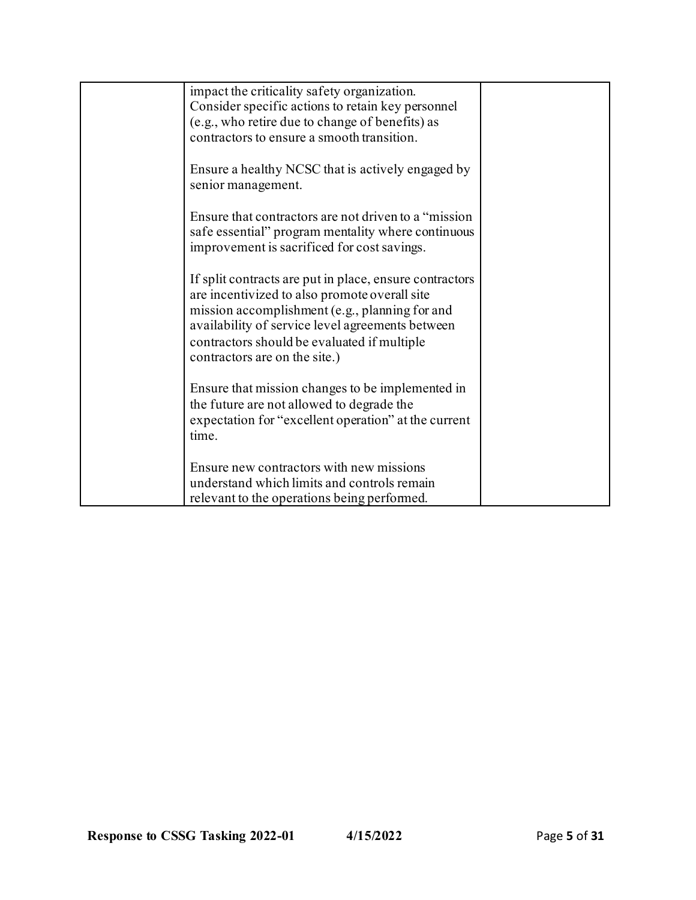| impact the criticality safety organization.             |  |
|---------------------------------------------------------|--|
| Consider specific actions to retain key personnel       |  |
| (e.g., who retire due to change of benefits) as         |  |
| contractors to ensure a smooth transition.              |  |
|                                                         |  |
| Ensure a healthy NCSC that is actively engaged by       |  |
| senior management.                                      |  |
|                                                         |  |
| Ensure that contractors are not driven to a "mission"   |  |
|                                                         |  |
| safe essential" program mentality where continuous      |  |
| improvement is sacrificed for cost savings.             |  |
|                                                         |  |
| If split contracts are put in place, ensure contractors |  |
| are incentivized to also promote overall site           |  |
| mission accomplishment (e.g., planning for and          |  |
| availability of service level agreements between        |  |
| contractors should be evaluated if multiple             |  |
| contractors are on the site.)                           |  |
|                                                         |  |
| Ensure that mission changes to be implemented in        |  |
| the future are not allowed to degrade the               |  |
| expectation for "excellent operation" at the current    |  |
| time.                                                   |  |
|                                                         |  |
| Ensure new contractors with new missions                |  |
| understand which limits and controls remain             |  |
|                                                         |  |
| relevant to the operations being performed.             |  |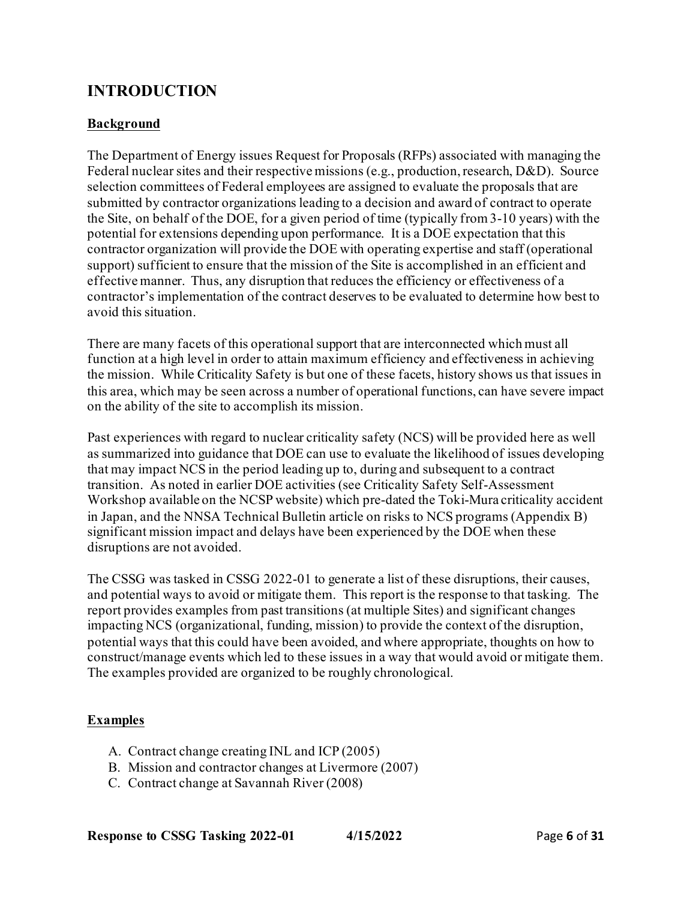# **INTRODUCTION**

# **Background**

The Department of Energy issues Request for Proposals (RFPs) associated with managing the Federal nuclear sites and their respective missions (e.g., production, research, D&D). Source selection committees of Federal employees are assigned to evaluate the proposals that are submitted by contractor organizations leading to a decision and award of contract to operate the Site, on behalf of the DOE, for a given period of time (typically from 3-10 years) with the potential for extensions depending upon performance. It is a DOE expectation that this contractor organization will provide the DOE with operating expertise and staff (operational support) sufficient to ensure that the mission of the Site is accomplished in an efficient and effective manner. Thus, any disruption that reduces the efficiency or effectiveness of a contractor's implementation of the contract deserves to be evaluated to determine how best to avoid this situation.

There are many facets of this operational support that are interconnected which must all function at a high level in order to attain maximum efficiency and effectiveness in achieving the mission. While Criticality Safety is but one of these facets, history shows us that issues in this area, which may be seen across a number of operational functions, can have severe impact on the ability of the site to accomplish its mission.

Past experiences with regard to nuclear criticality safety (NCS) will be provided here as well as summarized into guidance that DOE can use to evaluate the likelihood of issues developing that may impact NCS in the period leading up to, during and subsequent to a contract transition. As noted in earlier DOE activities (see Criticality Safety Self-Assessment Workshop available on the NCSP website) which pre-dated the Toki-Mura criticality accident in Japan, and the NNSA Technical Bulletin article on risks to NCS programs (Appendix B) significant mission impact and delays have been experienced by the DOE when these disruptions are not avoided.

The CSSG was tasked in CSSG 2022-01 to generate a list of these disruptions, their causes, and potential ways to avoid or mitigate them. This report is the response to that tasking. The report provides examples from past transitions (at multiple Sites) and significant changes impacting NCS (organizational, funding, mission) to provide the context of the disruption, potential ways that this could have been avoided, and where appropriate, thoughts on how to construct/manage events which led to these issues in a way that would avoid or mitigate them. The examples provided are organized to be roughly chronological.

# **Examples**

- A. Contract change creating INL and ICP (2005)
- B. Mission and contractor changes at Livermore (2007)
- C. Contract change at Savannah River (2008)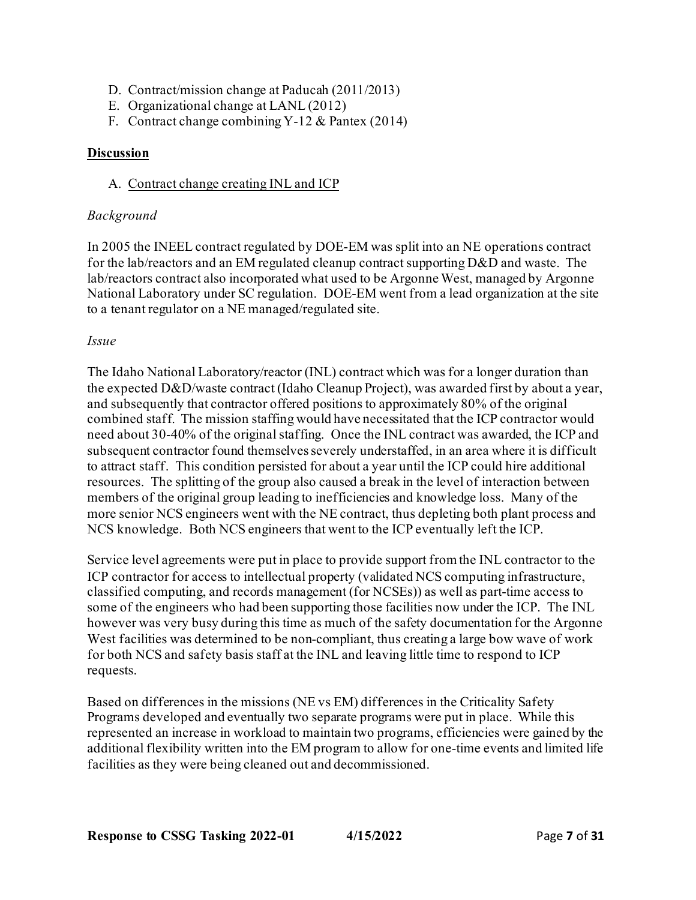- D. Contract/mission change at Paducah (2011/2013)
- E. Organizational change at LANL (2012)
- F. Contract change combining Y-12 & Pantex (2014)

# **Discussion**

# A. Contract change creating INL and ICP

### *Background*

In 2005 the INEEL contract regulated by DOE-EM was split into an NE operations contract for the lab/reactors and an EM regulated cleanup contract supporting D&D and waste. The lab/reactors contract also incorporated what used to be Argonne West, managed by Argonne National Laboratory under SC regulation. DOE-EM went from a lead organization at the site to a tenant regulator on a NE managed/regulated site.

## *Issue*

The Idaho National Laboratory/reactor (INL) contract which was for a longer duration than the expected D&D/waste contract (Idaho Cleanup Project), was awarded first by about a year, and subsequently that contractor offered positions to approximately 80% of the original combined staff. The mission staffing would have necessitated that the ICP contractor would need about 30-40% of the original staffing. Once the INL contract was awarded, the ICP and subsequent contractor found themselves severely understaffed, in an area where it is difficult to attract staff. This condition persisted for about a year until the ICP could hire additional resources. The splitting of the group also caused a break in the level of interaction between members of the original group leading to inefficiencies and knowledge loss. Many of the more senior NCS engineers went with the NE contract, thus depleting both plant process and NCS knowledge. Both NCS engineers that went to the ICP eventually left the ICP.

Service level agreements were put in place to provide support from the INL contractor to the ICP contractor for access to intellectual property (validated NCS computing infrastructure, classified computing, and records management (for NCSEs)) as well as part-time access to some of the engineers who had been supporting those facilities now under the ICP. The INL however was very busy during this time as much of the safety documentation for the Argonne West facilities was determined to be non-compliant, thus creating a large bow wave of work for both NCS and safety basis staff at the INL and leaving little time to respond to ICP requests.

Based on differences in the missions (NE vs EM) differences in the Criticality Safety Programs developed and eventually two separate programs were put in place. While this represented an increase in workload to maintain two programs, efficiencies were gained by the additional flexibility written into the EM program to allow for one-time events and limited life facilities as they were being cleaned out and decommissioned.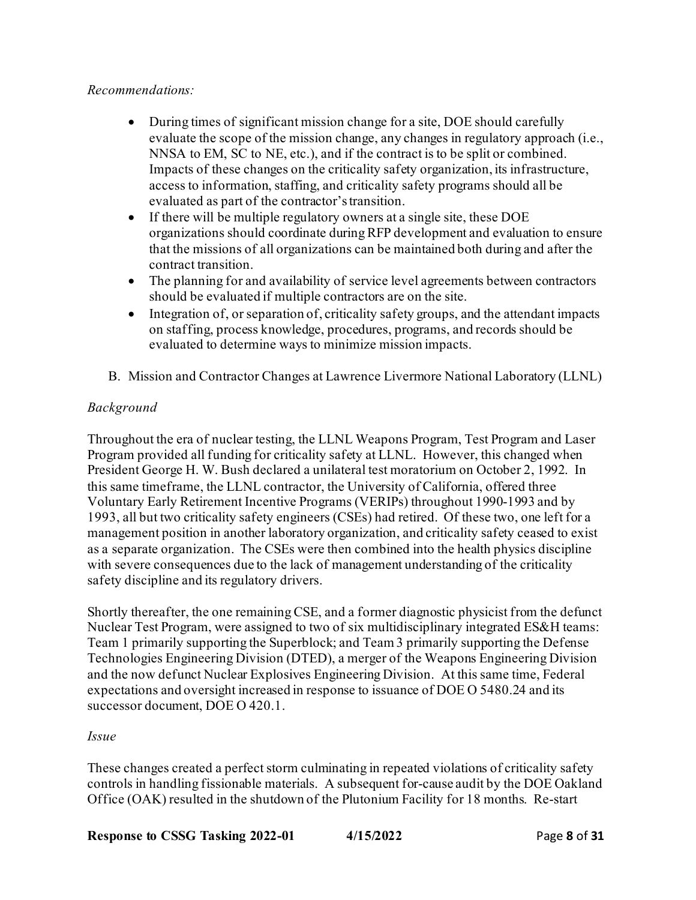# *Recommendations:*

- During times of significant mission change for a site, DOE should carefully evaluate the scope of the mission change, any changes in regulatory approach (i.e., NNSA to EM, SC to NE, etc.), and if the contract is to be split or combined. Impacts of these changes on the criticality safety organization, its infrastructure, access to information, staffing, and criticality safety programs should all be evaluated as part of the contractor's transition.
- If there will be multiple regulatory owners at a single site, these DOE organizations should coordinate during RFP development and evaluation to ensure that the missions of all organizations can be maintained both during and after the contract transition.
- The planning for and availability of service level agreements between contractors should be evaluated if multiple contractors are on the site.
- Integration of, or separation of, criticality safety groups, and the attendant impacts on staffing, process knowledge, procedures, programs, and records should be evaluated to determine ways to minimize mission impacts.
- B. Mission and Contractor Changes at Lawrence Livermore National Laboratory (LLNL)

# *Background*

Throughout the era of nuclear testing, the LLNL Weapons Program, Test Program and Laser Program provided all funding for criticality safety at LLNL. However, this changed when President George H. W. Bush declared a unilateral test moratorium on October 2, 1992. In this same timeframe, the LLNL contractor, the University of California, offered three Voluntary Early Retirement Incentive Programs (VERIPs) throughout 1990-1993 and by 1993, all but two criticality safety engineers (CSEs) had retired. Of these two, one left for a management position in another laboratory organization, and criticality safety ceased to exist as a separate organization. The CSEs were then combined into the health physics discipline with severe consequences due to the lack of management understanding of the criticality safety discipline and its regulatory drivers.

Shortly thereafter, the one remaining CSE, and a former diagnostic physicist from the defunct Nuclear Test Program, were assigned to two of six multidisciplinary integrated ES&H teams: Team 1 primarily supporting the Superblock; and Team 3 primarily supporting the Defense Technologies Engineering Division (DTED), a merger of the Weapons Engineering Division and the now defunct Nuclear Explosives Engineering Division. At this same time, Federal expectations and oversight increased in response to issuance of DOE O 5480.24 and its successor document, DOE O 420.1.

### *Issue*

These changes created a perfect storm culminating in repeated violations of criticality safety controls in handling fissionable materials. A subsequent for-cause audit by the DOE Oakland Office (OAK) resulted in the shutdown of the Plutonium Facility for 18 months. Re-start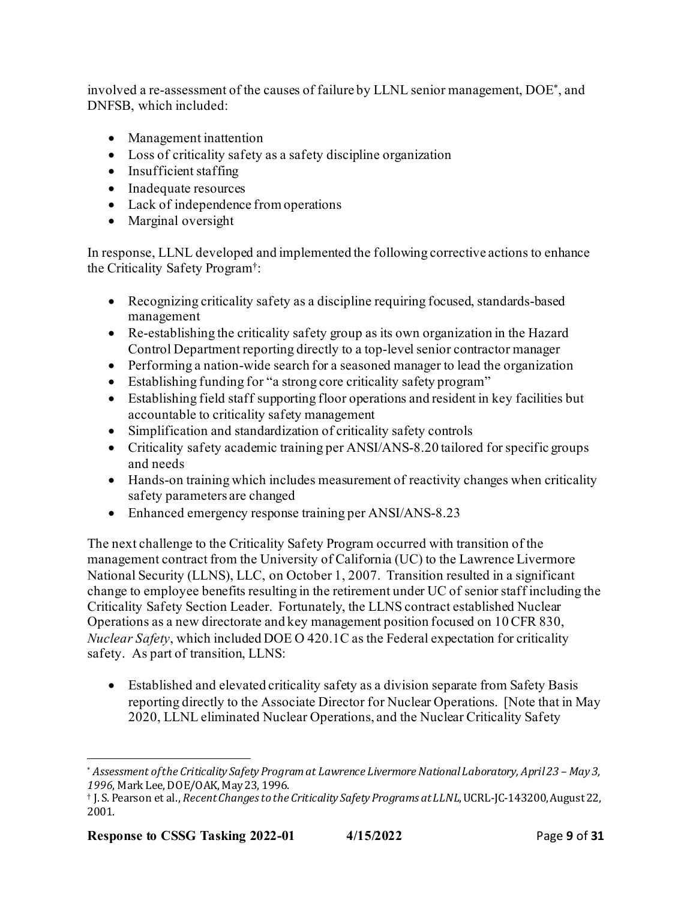involved a re-assessment of the causes of failure by LLNL senior management, DOE\*, and DNFSB, which included:

- Management inattention
- Loss of criticality safety as a safety discipline organization
- $\bullet$  Insufficient staffing
- Inadequate resources
- Lack of independence from operations
- Marginal oversight

In response, LLNL developed and implemented the following corrective actions to enhance the Criticality Safety Program†:

- Recognizing criticality safety as a discipline requiring focused, standards-based management
- Re-establishing the criticality safety group as its own organization in the Hazard Control Department reporting directly to a top-level senior contractor manager
- Performing a nation-wide search for a seasoned manager to lead the organization
- Establishing funding for "a strong core criticality safety program"
- Establishing field staff supporting floor operations and resident in key facilities but accountable to criticality safety management
- Simplification and standardization of criticality safety controls
- Criticality safety academic training per ANSI/ANS-8.20 tailored for specific groups and needs
- Hands-on training which includes measurement of reactivity changes when criticality safety parameters are changed
- Enhanced emergency response training per ANSI/ANS-8.23

The next challenge to the Criticality Safety Program occurred with transition of the management contract from the University of California (UC) to the Lawrence Livermore National Security (LLNS), LLC, on October 1, 2007. Transition resulted in a significant change to employee benefits resulting in the retirement under UC of senior staff including the Criticality Safety Section Leader. Fortunately, the LLNS contract established Nuclear Operations as a new directorate and key management position focused on 10 CFR 830, *Nuclear Safety*, which included DOE O 420.1C as the Federal expectation for criticality safety. As part of transition, LLNS:

• Established and elevated criticality safety as a division separate from Safety Basis reporting directly to the Associate Director for Nuclear Operations. [Note that in May 2020, LLNL eliminated Nuclear Operations, and the Nuclear Criticality Safety

<sup>\*</sup> *Assessment of the Criticality Safety Program at Lawrence Livermore National Laboratory, April 23 – May 3, 1996*, Mark Lee, DOE/OAK, May 23, 1996.

<sup>†</sup> J. S. Pearson et al., *Recent Changes to the Criticality Safety Programs at LLNL*, UCRL-JC-143200, August 22, 2001.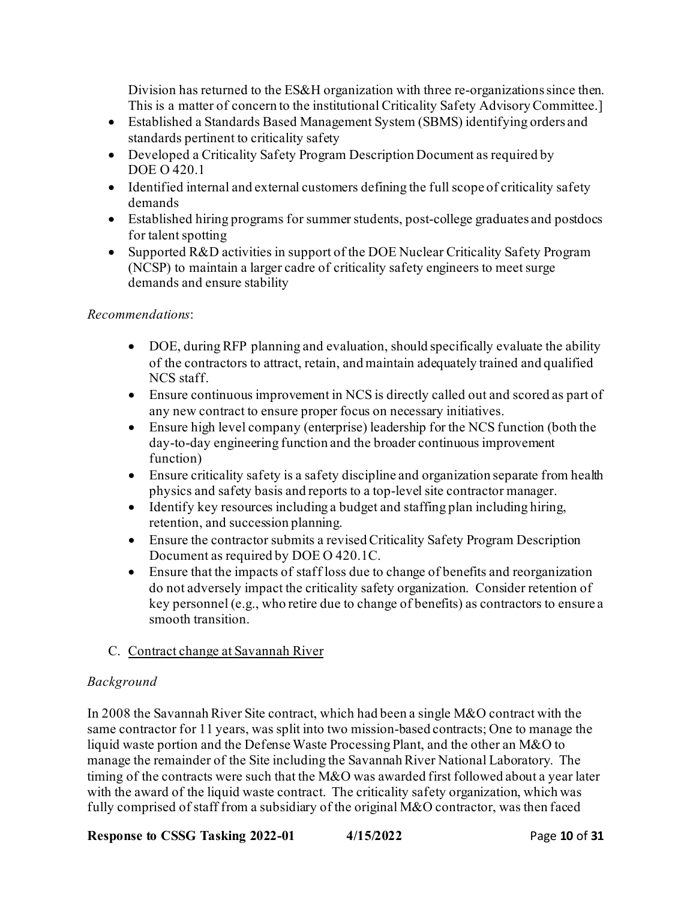Division has returned to the ES&H organization with three re-organizations since then. This is a matter of concern to the institutional Criticality Safety Advisory Committee.]

- Established a Standards Based Management System (SBMS) identifying orders and standards pertinent to criticality safety
- Developed a Criticality Safety Program Description Document as required by DOE O 420.1
- Identified internal and external customers defining the full scope of criticality safety demands
- Established hiring programs for summer students, post-college graduates and postdocs for talent spotting
- Supported R&D activities in support of the DOE Nuclear Criticality Safety Program (NCSP) to maintain a larger cadre of criticality safety engineers to meet surge demands and ensure stability

# *Recommendations*:

- DOE, during RFP planning and evaluation, should specifically evaluate the ability of the contractors to attract, retain, and maintain adequately trained and qualified NCS staff.
- Ensure continuous improvement in NCS is directly called out and scored as part of any new contract to ensure proper focus on necessary initiatives.
- Ensure high level company (enterprise) leadership for the NCS function (both the day-to-day engineering function and the broader continuous improvement function)
- Ensure criticality safety is a safety discipline and organization separate from health physics and safety basis and reports to a top-levelsite contractor manager.
- Identify key resources including a budget and staffing plan including hiring, retention, and succession planning.
- Ensure the contractor submits a revised Criticality Safety Program Description Document as required by DOE O 420.1C.
- Ensure that the impacts of staff loss due to change of benefits and reorganization do not adversely impact the criticality safety organization. Consider retention of key personnel (e.g., who retire due to change of benefits) as contractors to ensure a smooth transition.

# C. Contract change at Savannah River

# *Background*

In 2008 the Savannah River Site contract, which had been a single M&O contract with the same contractor for 11 years, was split into two mission-based contracts; One to manage the liquid waste portion and the Defense Waste Processing Plant, and the other an M&O to manage the remainder of the Site including the Savannah River National Laboratory. The timing of the contracts were such that the M&O was awarded first followed about a year later with the award of the liquid waste contract. The criticality safety organization, which was fully comprised of staff from a subsidiary of the original M&O contractor, was then faced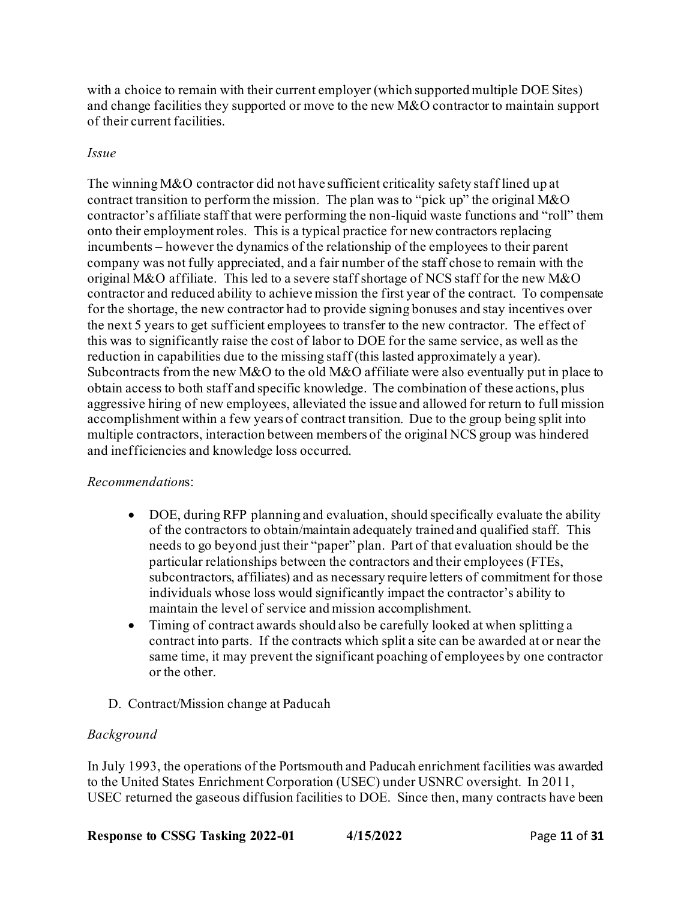with a choice to remain with their current employer (which supported multiple DOE Sites) and change facilities they supported or move to the new M&O contractor to maintain support of their current facilities.

# *Issue*

The winning M&O contractor did not have sufficient criticality safety staff lined up at contract transition to perform the mission. The plan was to "pick up" the original M&O contractor's affiliate staff that were performing the non-liquid waste functions and "roll" them onto their employment roles. This is a typical practice for newcontractors replacing incumbents – however the dynamics of the relationship of the employees to their parent company was not fully appreciated, and a fair number of the staff chose to remain with the original M&O affiliate. This led to a severe staff shortage of NCS staff for the new M&O contractor and reduced ability to achieve mission the first year of the contract. To compensate for the shortage, the new contractor had to provide signing bonuses and stay incentives over the next 5 years to get sufficient employees to transfer to the new contractor. The effect of this was to significantly raise the cost of labor to DOE for the same service, as well as the reduction in capabilities due to the missing staff (this lasted approximately a year). Subcontracts from the new M&O to the old M&O affiliate were also eventually put in place to obtain access to both staff and specific knowledge. The combination of these actions, plus aggressive hiring of new employees, alleviated the issue and allowed for return to full mission accomplishment within a few years of contract transition. Due to the group being split into multiple contractors, interaction between members of the original NCS group was hindered and inefficiencies and knowledge loss occurred.

# *Recommendation*s:

- DOE, during RFP planning and evaluation, should specifically evaluate the ability of the contractors to obtain/maintain adequately trained and qualified staff. This needs to go beyond just their "paper" plan. Part of that evaluation should be the particular relationships between the contractors and their employees (FTEs, subcontractors, affiliates) and as necessary require letters of commitment for those individuals whose loss would significantly impact the contractor's ability to maintain the level of service and mission accomplishment.
- Timing of contract awards should also be carefully looked at when splitting a contract into parts. If the contracts which split a site can be awarded at or near the same time, it may prevent the significant poaching of employees by one contractor or the other.
- D. Contract/Mission change at Paducah

# *Background*

In July 1993, the operations of the Portsmouth and Paducah enrichment facilities was awarded to the United States Enrichment Corporation (USEC) under USNRC oversight. In 2011, USEC returned the gaseous diffusion facilities to DOE. Since then, many contracts have been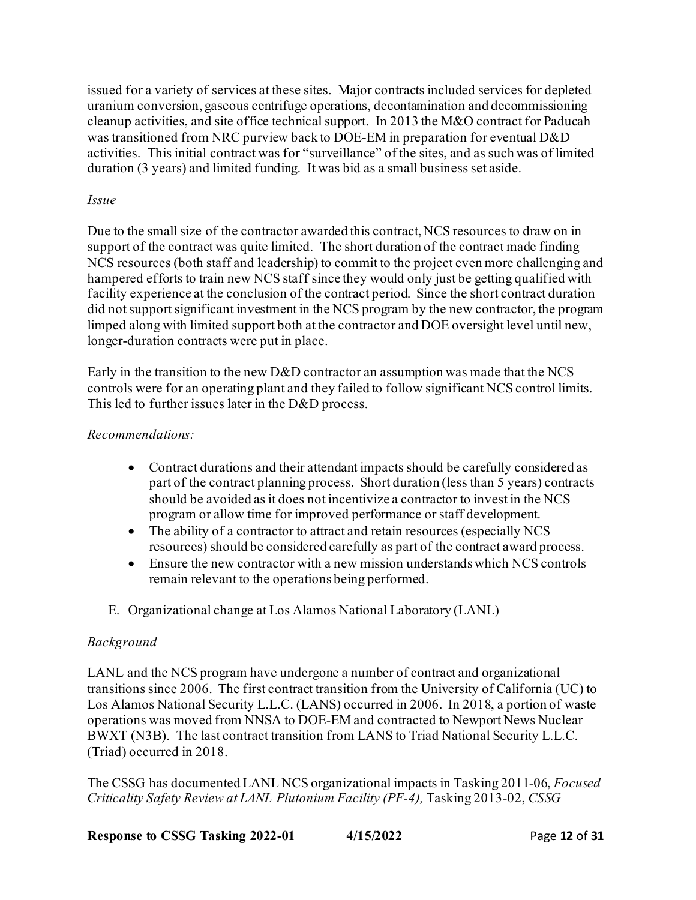issued for a variety of services at these sites. Major contracts included services for depleted uranium conversion, gaseous centrifuge operations, decontamination and decommissioning cleanup activities, and site office technical support. In 2013 the M&O contract for Paducah was transitioned from NRC purview back to DOE-EM in preparation for eventual D&D activities. This initial contract was for "surveillance" of the sites, and as such was of limited duration (3 years) and limited funding. It was bid as a small business set aside.

# *Issue*

Due to the small size of the contractor awarded this contract, NCS resources to draw on in support of the contract was quite limited. The short duration of the contract made finding NCS resources (both staff and leadership) to commit to the project even more challenging and hampered efforts to train new NCS staff since they would only just be getting qualified with facility experience at the conclusion of the contract period. Since the short contract duration did not support significant investment in the NCS program by the new contractor, the program limped along with limited support both at the contractor and DOE oversight level until new, longer-duration contracts were put in place.

Early in the transition to the new D&D contractor an assumption was made that the NCS controls were for an operating plant and they failed to follow significant NCS control limits. This led to further issues later in the D&D process.

# *Recommendations:*

- Contract durations and their attendant impacts should be carefully considered as part of the contract planning process. Short duration (less than 5 years) contracts should be avoided as it does not incentivize a contractor to invest in the NCS program or allow time for improved performance or staff development.
- The ability of a contractor to attract and retain resources (especially NCS resources) should be considered carefully as part of the contract award process.
- Ensure the new contractor with a new mission understands which NCS controls remain relevant to the operations being performed.
- E. Organizational change at Los Alamos National Laboratory (LANL)

# *Background*

LANL and the NCS program have undergone a number of contract and organizational transitions since 2006. The first contract transition from the University of California (UC) to Los Alamos National Security L.L.C. (LANS) occurred in 2006. In 2018, a portion of waste operations was moved from NNSA to DOE-EM and contracted to Newport News Nuclear BWXT (N3B). The last contract transition from LANS to Triad National Security L.L.C. (Triad) occurred in 2018.

The CSSG has documented LANL NCS organizational impacts in Tasking 2011-06, *Focused Criticality Safety Review at LANL Plutonium Facility (PF-4),* Tasking 2013-02, *CSSG*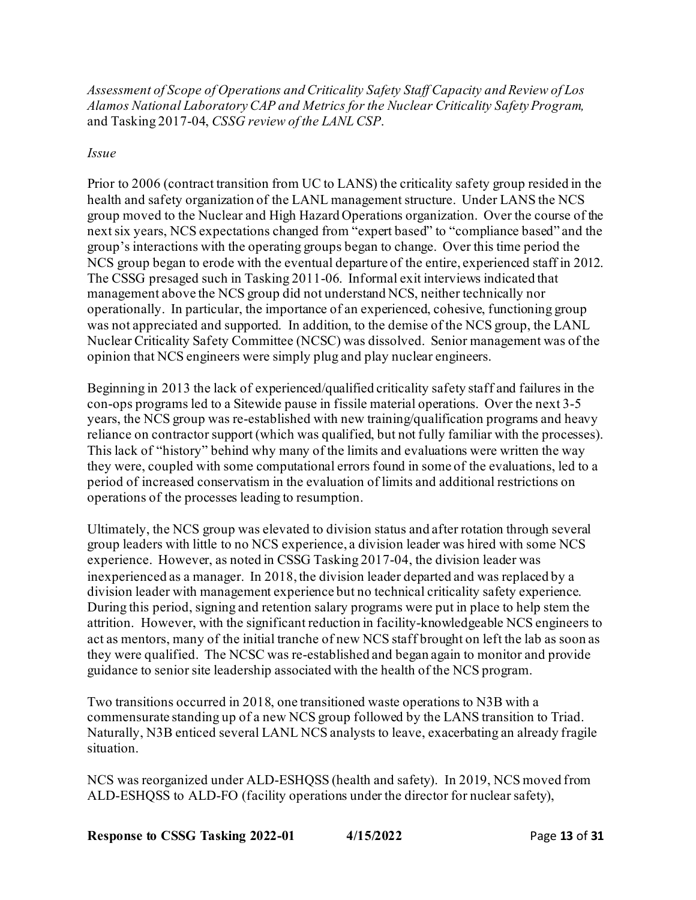*Assessment of Scope of Operations and Criticality Safety Staff Capacity and Review of Los Alamos National Laboratory CAP and Metrics for the Nuclear Criticality Safety Program,*  and Tasking 2017-04, *CSSG review of the LANL CSP*.

## *Issue*

Prior to 2006 (contract transition from UC to LANS) the criticality safety group resided in the health and safety organization of the LANL management structure. Under LANS the NCS group moved to the Nuclear and High Hazard Operations organization. Over the course of the next six years, NCS expectations changed from "expert based" to "compliance based" and the group's interactions with the operating groups began to change. Over this time period the NCS group began to erode with the eventual departure of the entire, experienced staff in 2012. The CSSG presaged such in Tasking 2011-06. Informal exit interviews indicated that management above the NCS group did not understand NCS, neither technically nor operationally. In particular, the importance of an experienced, cohesive, functioning group was not appreciated and supported. In addition, to the demise of the NCS group, the LANL Nuclear Criticality Safety Committee (NCSC) was dissolved. Senior management was of the opinion that NCS engineers were simply plug and play nuclear engineers.

Beginning in 2013 the lack of experienced/qualified criticality safety staff and failures in the con-ops programs led to a Sitewide pause in fissile material operations. Over the next 3-5 years, the NCS group was re-established with new training/qualification programs and heavy reliance on contractor support (which was qualified, but not fully familiar with the processes). This lack of "history" behind why many of the limits and evaluations were written the way they were, coupled with some computational errors found in some of the evaluations, led to a period of increased conservatism in the evaluation of limits and additional restrictions on operations of the processes leading to resumption.

Ultimately, the NCS group was elevated to division status and after rotation through several group leaders with little to no NCS experience, a division leader was hired with some NCS experience. However, as noted in CSSG Tasking 2017-04, the division leader was inexperienced as a manager. In 2018, the division leader departed and was replaced by a division leader with management experience but no technical criticality safety experience. During this period, signing and retention salary programs were put in place to help stem the attrition. However, with the significant reduction in facility-knowledgeable NCS engineers to act as mentors, many of the initial tranche of new NCS staff brought on left the lab as soon as they were qualified. The NCSC was re-established and began again to monitor and provide guidance to senior site leadership associated with the health of the NCS program.

Two transitions occurred in 2018, one transitioned waste operations to N3B with a commensurate standing up of a new NCS group followed by the LANS transition to Triad. Naturally, N3B enticed several LANL NCS analysts to leave, exacerbating an already fragile situation.

NCS was reorganized under ALD-ESHQSS (health and safety). In 2019, NCS moved from ALD-ESHQSS to ALD-FO (facility operations under the director for nuclear safety),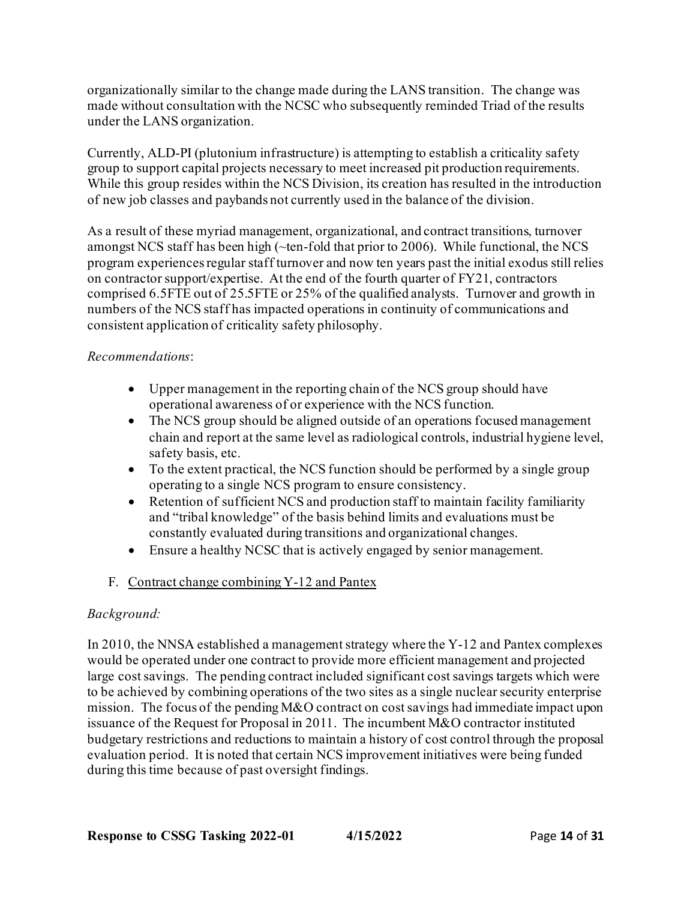organizationally similar to the change made during the LANS transition. The change was made without consultation with the NCSC who subsequently reminded Triad of the results under the LANS organization.

Currently, ALD-PI (plutonium infrastructure) is attempting to establish a criticality safety group to support capital projects necessary to meet increased pit production requirements. While this group resides within the NCS Division, its creation has resulted in the introduction of new job classes and paybands not currently used in the balance of the division.

As a result of these myriad management, organizational, and contract transitions, turnover amongst NCS staff has been high (~ten-fold that prior to 2006). While functional, the NCS program experiences regular staff turnover and now ten years past the initial exodus still relies on contractor support/expertise. At the end of the fourth quarter of FY21, contractors comprised 6.5FTE out of 25.5FTE or 25% of the qualified analysts. Turnover and growth in numbers of the NCS staff has impacted operations in continuity of communications and consistent application of criticality safety philosophy.

# *Recommendations*:

- Upper management in the reporting chain of the NCS group should have operational awareness of or experience with the NCS function.
- The NCS group should be aligned outside of an operations focused management chain and report at the same level as radiological controls, industrial hygiene level, safety basis, etc.
- To the extent practical, the NCS function should be performed by a single group operating to a single NCS program to ensure consistency.
- Retention of sufficient NCS and production staff to maintain facility familiarity and "tribal knowledge" of the basis behind limits and evaluations must be constantly evaluated during transitions and organizational changes.
- Ensure a healthy NCSC that is actively engaged by senior management.
- F. Contract change combining Y-12 and Pantex

# *Background:*

In 2010, the NNSA established a management strategy where the Y-12 and Pantex complexes would be operated under one contract to provide more efficient management and projected large cost savings. The pending contract included significant cost savings targets which were to be achieved by combining operations of the two sites as a single nuclear security enterprise mission. The focus of the pending M&O contract on cost savings had immediate impact upon issuance of the Request for Proposal in 2011. The incumbent M&O contractor instituted budgetary restrictions and reductions to maintain a history of cost control through the proposal evaluation period. It is noted that certain NCS improvement initiatives were being funded during this time because of past oversight findings.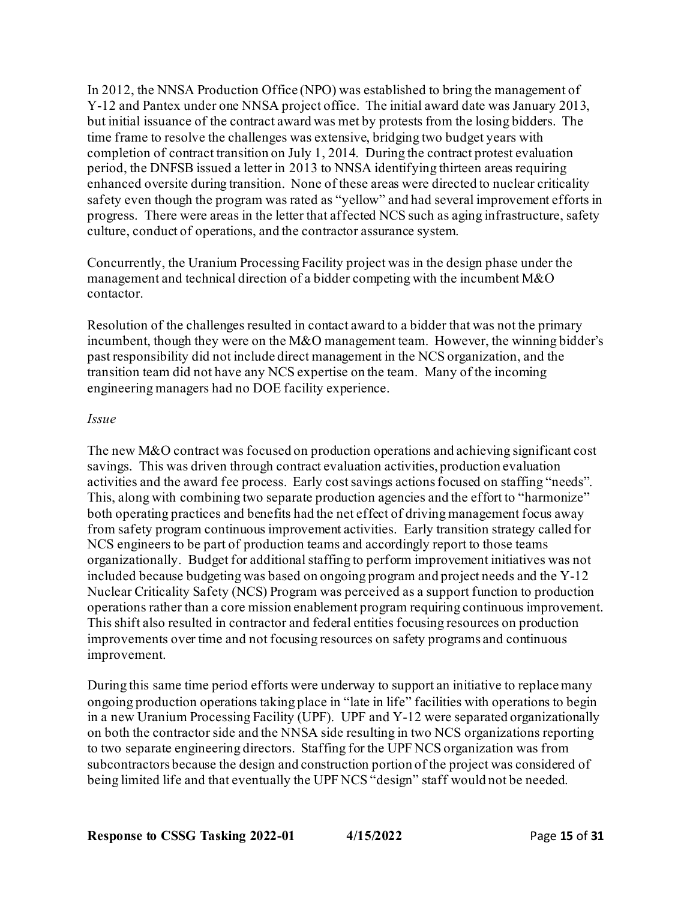In 2012, the NNSA Production Office (NPO) was established to bring the management of Y-12 and Pantex under one NNSA project office. The initial award date was January 2013, but initial issuance of the contract award was met by protests from the losing bidders. The time frame to resolve the challenges was extensive, bridging two budget years with completion of contract transition on July 1, 2014. During the contract protest evaluation period, the DNFSB issued a letter in 2013 to NNSA identifying thirteen areas requiring enhanced oversite during transition. None of these areas were directed to nuclear criticality safety even though the program was rated as "yellow" and had several improvement efforts in progress. There were areas in the letter that affected NCS such as aging infrastructure, safety culture, conduct of operations, and the contractor assurance system.

Concurrently, the Uranium Processing Facility project was in the design phase under the management and technical direction of a bidder competing with the incumbent M&O contactor.

Resolution of the challenges resulted in contact award to a bidder that was not the primary incumbent, though they were on the M&O management team. However, the winning bidder's past responsibility did not include direct management in the NCS organization, and the transition team did not have any NCS expertise on the team. Many of the incoming engineering managers had no DOE facility experience.

## *Issue*

The new M&O contract was focused on production operations and achieving significant cost savings. This was driven through contract evaluation activities, production evaluation activities and the award fee process. Early cost savings actions focused on staffing "needs". This, along with combining two separate production agencies and the effort to "harmonize" both operating practices and benefits had the net effect of driving management focus away from safety program continuous improvement activities. Early transition strategy called for NCS engineers to be part of production teams and accordingly report to those teams organizationally. Budget for additional staffing to perform improvement initiatives was not included because budgeting was based on ongoing program and project needs and the Y-12 Nuclear Criticality Safety (NCS) Program was perceived as a support function to production operations rather than a core mission enablement program requiring continuous improvement. This shift also resulted in contractor and federal entities focusing resources on production improvements over time and not focusing resources on safety programs and continuous improvement.

During this same time period efforts were underway to support an initiative to replace many ongoing production operations taking place in "late in life" facilities with operations to begin in a new Uranium Processing Facility (UPF). UPF and Y-12 were separated organizationally on both the contractor side and the NNSA side resulting in two NCS organizations reporting to two separate engineering directors. Staffing for the UPF NCS organization was from subcontractors because the design and construction portion of the project was considered of being limited life and that eventually the UPF NCS "design" staff would not be needed.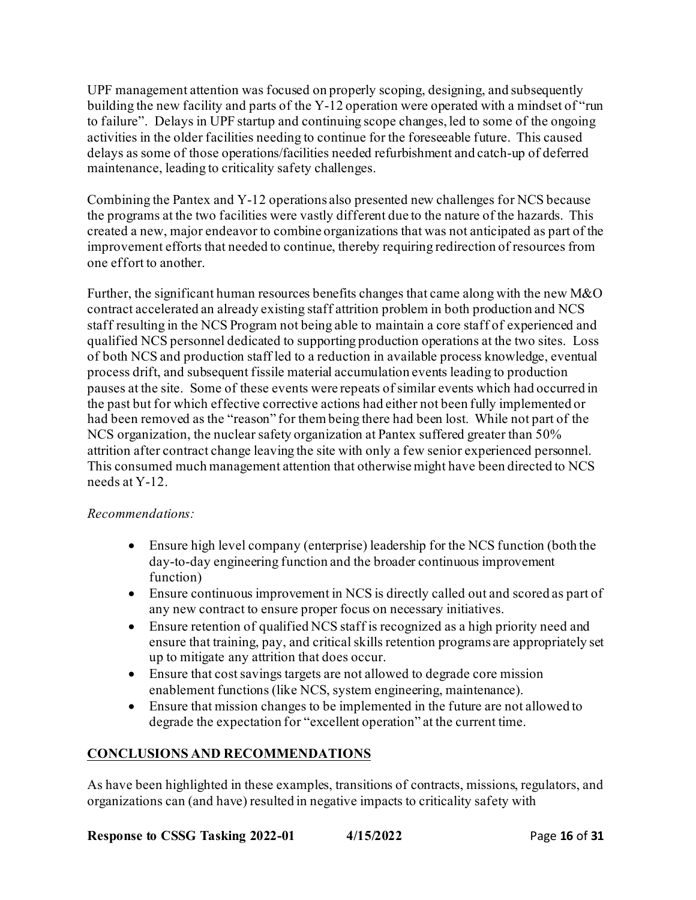UPF management attention was focused on properly scoping, designing, and subsequently building the new facility and parts of the Y-12 operation were operated with a mindset of "run to failure". Delays in UPF startup and continuing scope changes, led to some of the ongoing activities in the older facilities needing to continue for the foreseeable future. This caused delays as some of those operations/facilities needed refurbishment and catch-up of deferred maintenance, leading to criticality safety challenges.

Combining the Pantex and Y-12 operations also presented new challenges for NCS because the programs at the two facilities were vastly different due to the nature of the hazards. This created a new, major endeavor to combine organizations that was not anticipated as part of the improvement efforts that needed to continue, thereby requiring redirection of resources from one effort to another.

Further, the significant human resources benefits changes that came along with the new M&O contract accelerated an already existing staff attrition problem in both production and NCS staff resulting in the NCS Program not being able to maintain a core staff of experienced and qualified NCS personnel dedicated to supporting production operations at the two sites. Loss of both NCS and production staff led to a reduction in available process knowledge, eventual process drift, and subsequent fissile material accumulation events leading to production pauses at the site. Some of these events were repeats of similar events which had occurred in the past but for which effective corrective actions had either not been fully implemented or had been removed as the "reason" for them being there had been lost. While not part of the NCS organization, the nuclear safety organization at Pantex suffered greater than 50% attrition after contract change leaving the site with only a few senior experienced personnel. This consumed much management attention that otherwise might have been directed to NCS needs at Y-12.

# *Recommendations:*

- Ensure high level company (enterprise) leadership for the NCS function (both the day-to-day engineering function and the broader continuous improvement function)
- Ensure continuous improvement in NCS is directly called out and scored as part of any new contract to ensure proper focus on necessary initiatives.
- Ensure retention of qualified NCS staff is recognized as a high priority need and ensure that training, pay, and critical skills retention programs are appropriately set up to mitigate any attrition that does occur.
- Ensure that cost savings targets are not allowed to degrade core mission enablement functions (like NCS, system engineering, maintenance).
- Ensure that mission changes to be implemented in the future are not allowed to degrade the expectation for "excellent operation" at the current time.

# **CONCLUSIONS AND RECOMMENDATIONS**

As have been highlighted in these examples, transitions of contracts, missions, regulators, and organizations can (and have) resulted in negative impacts to criticality safety with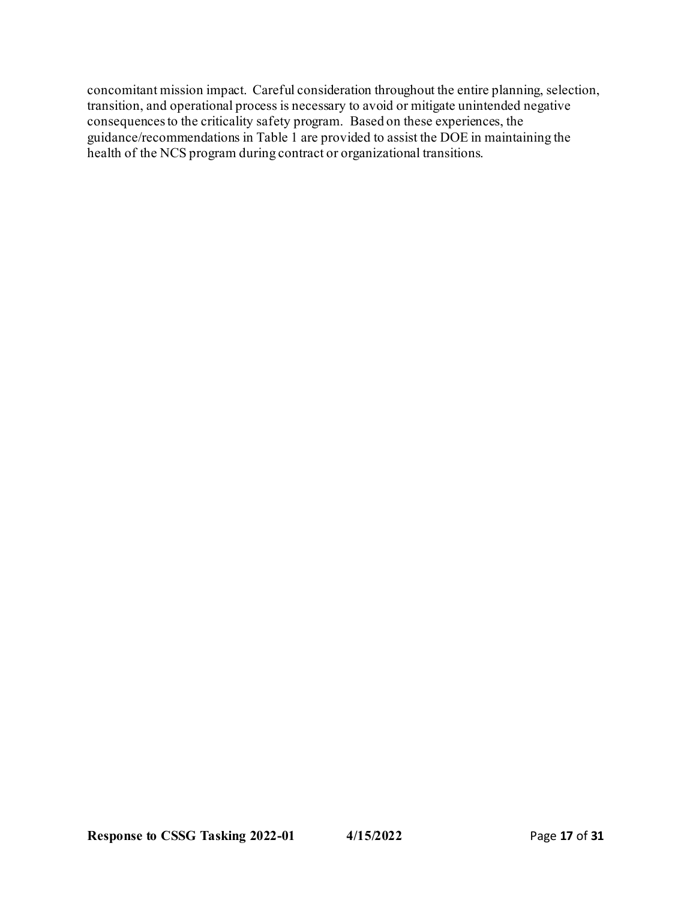concomitant mission impact. Careful consideration throughout the entire planning, selection, transition, and operational process is necessary to avoid or mitigate unintended negative consequences to the criticality safety program. Based on these experiences, the guidance/recommendations in Table 1 are provided to assist the DOE in maintaining the health of the NCS program during contract or organizational transitions.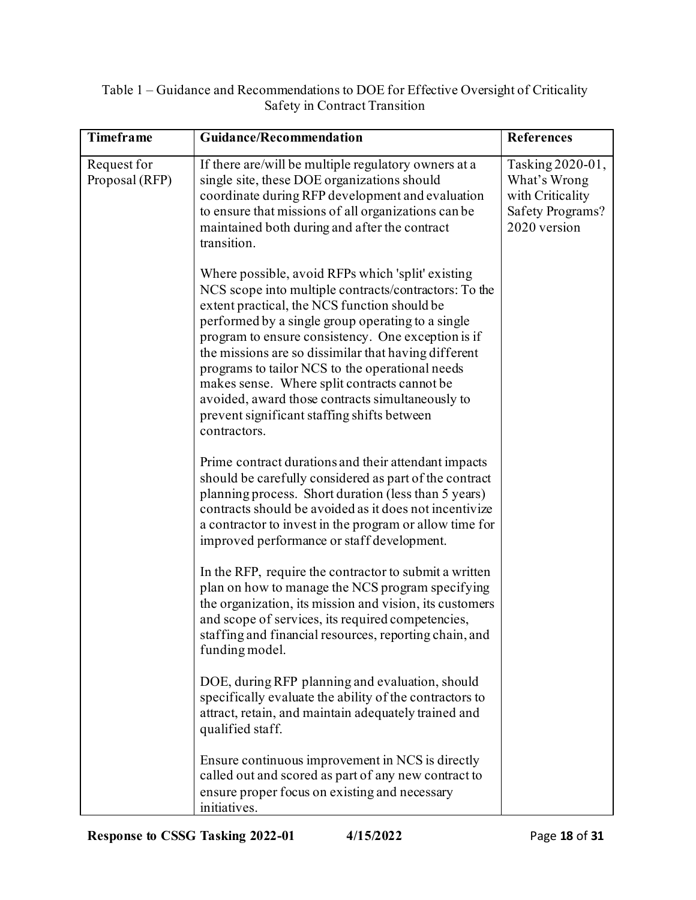| Table 1 – Guidance and Recommendations to DOE for Effective Oversight of Criticality |
|--------------------------------------------------------------------------------------|
| Safety in Contract Transition                                                        |

| <b>Timeframe</b>              | <b>Guidance/Recommendation</b>                                                                                                                                                                                                                                                                                                                                                                                                                                                                                                                      | <b>References</b>                                                                        |
|-------------------------------|-----------------------------------------------------------------------------------------------------------------------------------------------------------------------------------------------------------------------------------------------------------------------------------------------------------------------------------------------------------------------------------------------------------------------------------------------------------------------------------------------------------------------------------------------------|------------------------------------------------------------------------------------------|
| Request for<br>Proposal (RFP) | If there are/will be multiple regulatory owners at a<br>single site, these DOE organizations should<br>coordinate during RFP development and evaluation<br>to ensure that missions of all organizations can be<br>maintained both during and after the contract<br>transition.                                                                                                                                                                                                                                                                      | Tasking 2020-01,<br>What's Wrong<br>with Criticality<br>Safety Programs?<br>2020 version |
|                               | Where possible, avoid RFPs which 'split' existing<br>NCS scope into multiple contracts/contractors: To the<br>extent practical, the NCS function should be<br>performed by a single group operating to a single<br>program to ensure consistency. One exception is if<br>the missions are so dissimilar that having different<br>programs to tailor NCS to the operational needs<br>makes sense. Where split contracts cannot be<br>avoided, award those contracts simultaneously to<br>prevent significant staffing shifts between<br>contractors. |                                                                                          |
|                               | Prime contract durations and their attendant impacts<br>should be carefully considered as part of the contract<br>planning process. Short duration (less than 5 years)<br>contracts should be avoided as it does not incentivize<br>a contractor to invest in the program or allow time for<br>improved performance or staff development.                                                                                                                                                                                                           |                                                                                          |
|                               | In the RFP, require the contractor to submit a written<br>plan on how to manage the NCS program specifying<br>the organization, its mission and vision, its customers<br>and scope of services, its required competencies,<br>staffing and financial resources, reporting chain, and<br>funding model.                                                                                                                                                                                                                                              |                                                                                          |
|                               | DOE, during RFP planning and evaluation, should<br>specifically evaluate the ability of the contractors to<br>attract, retain, and maintain adequately trained and<br>qualified staff.                                                                                                                                                                                                                                                                                                                                                              |                                                                                          |
|                               | Ensure continuous improvement in NCS is directly<br>called out and scored as part of any new contract to<br>ensure proper focus on existing and necessary<br>initiatives.                                                                                                                                                                                                                                                                                                                                                                           |                                                                                          |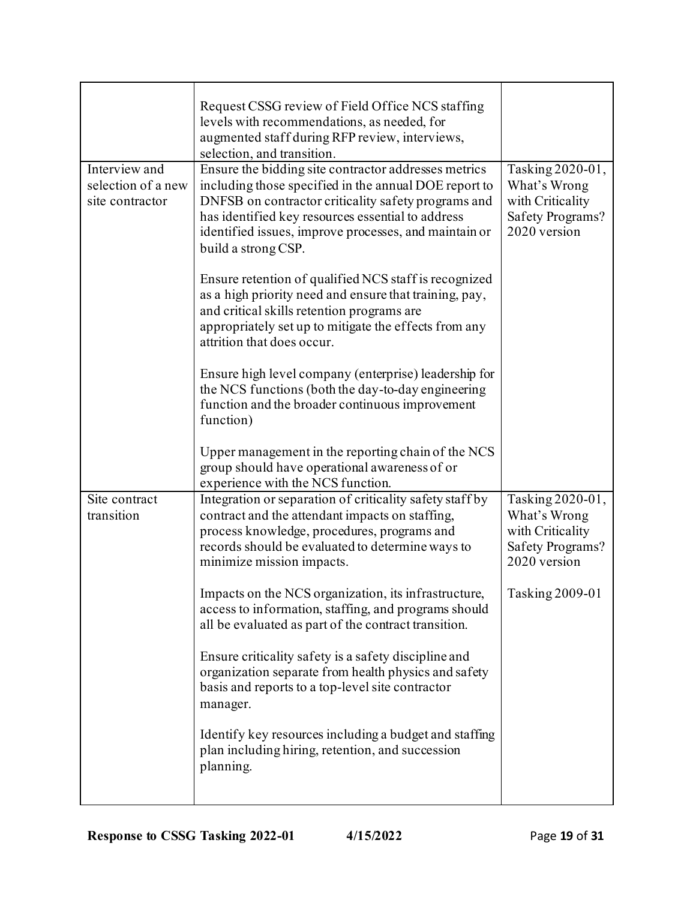|                                                        | Request CSSG review of Field Office NCS staffing<br>levels with recommendations, as needed, for<br>augmented staff during RFP review, interviews,<br>selection, and transition.                                                                                                                                                                                                                                                                                                                                                                                                                                                                                                                                                |                                                                                                                    |
|--------------------------------------------------------|--------------------------------------------------------------------------------------------------------------------------------------------------------------------------------------------------------------------------------------------------------------------------------------------------------------------------------------------------------------------------------------------------------------------------------------------------------------------------------------------------------------------------------------------------------------------------------------------------------------------------------------------------------------------------------------------------------------------------------|--------------------------------------------------------------------------------------------------------------------|
| Interview and<br>selection of a new<br>site contractor | Ensure the bidding site contractor addresses metrics<br>including those specified in the annual DOE report to<br>DNFSB on contractor criticality safety programs and<br>has identified key resources essential to address<br>identified issues, improve processes, and maintain or<br>build a strong CSP.<br>Ensure retention of qualified NCS staff is recognized<br>as a high priority need and ensure that training, pay,<br>and critical skills retention programs are<br>appropriately set up to mitigate the effects from any<br>attrition that does occur.                                                                                                                                                              | Tasking 2020-01,<br>What's Wrong<br>with Criticality<br>Safety Programs?<br>2020 version                           |
|                                                        | Ensure high level company (enterprise) leadership for<br>the NCS functions (both the day-to-day engineering<br>function and the broader continuous improvement<br>function)<br>Upper management in the reporting chain of the NCS<br>group should have operational awareness of or<br>experience with the NCS function.                                                                                                                                                                                                                                                                                                                                                                                                        |                                                                                                                    |
| Site contract<br>transition                            | Integration or separation of criticality safety staff by<br>contract and the attendant impacts on staffing,<br>process knowledge, procedures, programs and<br>records should be evaluated to determine ways to<br>minimize mission impacts.<br>Impacts on the NCS organization, its infrastructure,<br>access to information, staffing, and programs should<br>all be evaluated as part of the contract transition.<br>Ensure criticality safety is a safety discipline and<br>organization separate from health physics and safety<br>basis and reports to a top-level site contractor<br>manager.<br>Identify key resources including a budget and staffing<br>plan including hiring, retention, and succession<br>planning. | Tasking 2020-01,<br>What's Wrong<br>with Criticality<br><b>Safety Programs?</b><br>2020 version<br>Tasking 2009-01 |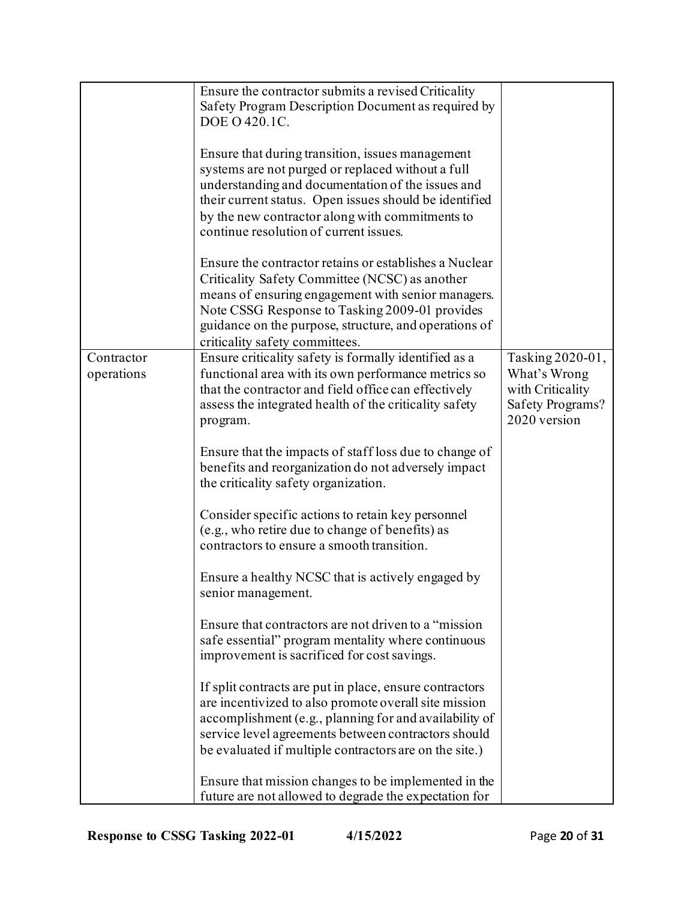|            | Ensure the contractor submits a revised Criticality     |                  |
|------------|---------------------------------------------------------|------------------|
|            | Safety Program Description Document as required by      |                  |
|            | DOE O 420.1C.                                           |                  |
|            |                                                         |                  |
|            | Ensure that during transition, issues management        |                  |
|            | systems are not purged or replaced without a full       |                  |
|            | understanding and documentation of the issues and       |                  |
|            | their current status. Open issues should be identified  |                  |
|            | by the new contractor along with commitments to         |                  |
|            | continue resolution of current issues.                  |                  |
|            |                                                         |                  |
|            | Ensure the contractor retains or establishes a Nuclear  |                  |
|            | Criticality Safety Committee (NCSC) as another          |                  |
|            | means of ensuring engagement with senior managers.      |                  |
|            | Note CSSG Response to Tasking 2009-01 provides          |                  |
|            | guidance on the purpose, structure, and operations of   |                  |
|            | criticality safety committees.                          |                  |
| Contractor | Ensure criticality safety is formally identified as a   | Tasking 2020-01, |
| operations | functional area with its own performance metrics so     | What's Wrong     |
|            | that the contractor and field office can effectively    | with Criticality |
|            | assess the integrated health of the criticality safety  | Safety Programs? |
|            |                                                         | 2020 version     |
|            | program.                                                |                  |
|            | Ensure that the impacts of staff loss due to change of  |                  |
|            | benefits and reorganization do not adversely impact     |                  |
|            | the criticality safety organization.                    |                  |
|            |                                                         |                  |
|            | Consider specific actions to retain key personnel       |                  |
|            | (e.g., who retire due to change of benefits) as         |                  |
|            | contractors to ensure a smooth transition.              |                  |
|            |                                                         |                  |
|            | Ensure a healthy NCSC that is actively engaged by       |                  |
|            | senior management.                                      |                  |
|            |                                                         |                  |
|            | Ensure that contractors are not driven to a "mission"   |                  |
|            | safe essential" program mentality where continuous      |                  |
|            | improvement is sacrificed for cost savings.             |                  |
|            |                                                         |                  |
|            | If split contracts are put in place, ensure contractors |                  |
|            | are incentivized to also promote overall site mission   |                  |
|            | accomplishment (e.g., planning for and availability of  |                  |
|            | service level agreements between contractors should     |                  |
|            | be evaluated if multiple contractors are on the site.)  |                  |
|            |                                                         |                  |
|            | Ensure that mission changes to be implemented in the    |                  |
|            | future are not allowed to degrade the expectation for   |                  |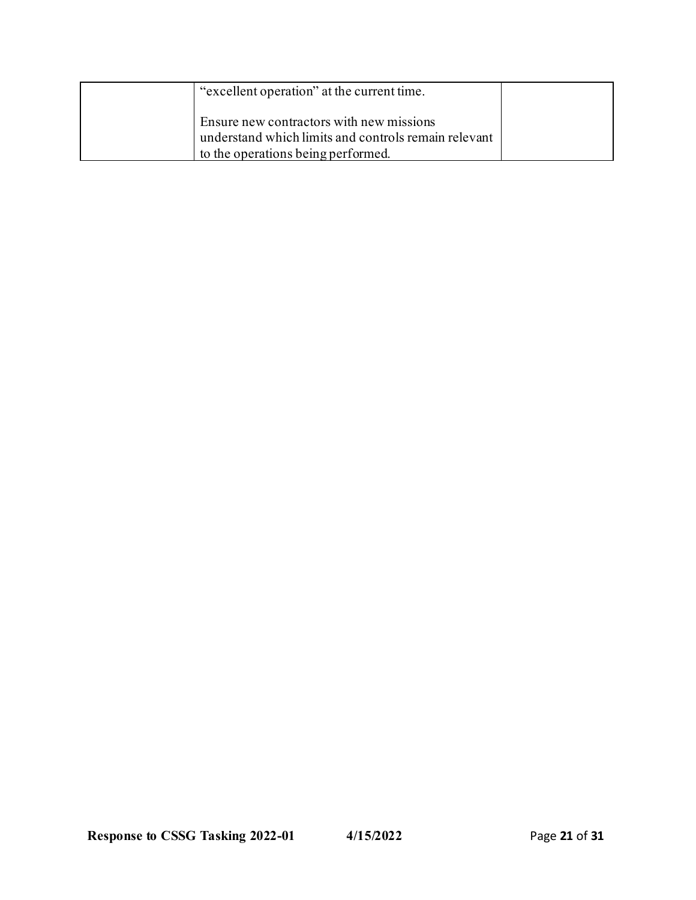| "excellent operation" at the current time.                                                                                             |  |
|----------------------------------------------------------------------------------------------------------------------------------------|--|
| Ensure new contractors with new missions<br>understand which limits and controls remain relevant<br>to the operations being performed. |  |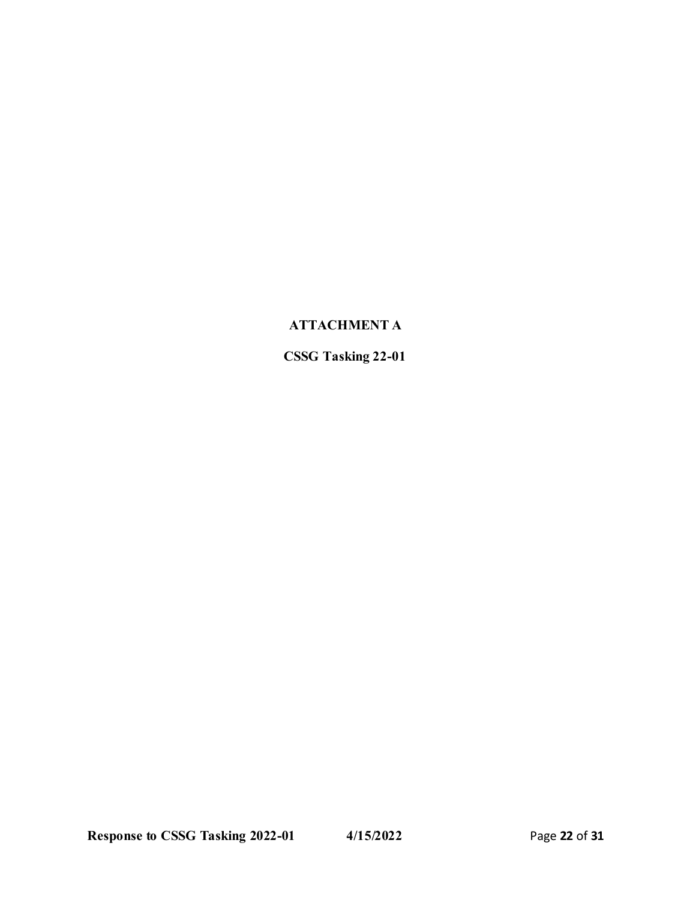# **ATTACHMENT A**

**CSSG Tasking 22-01**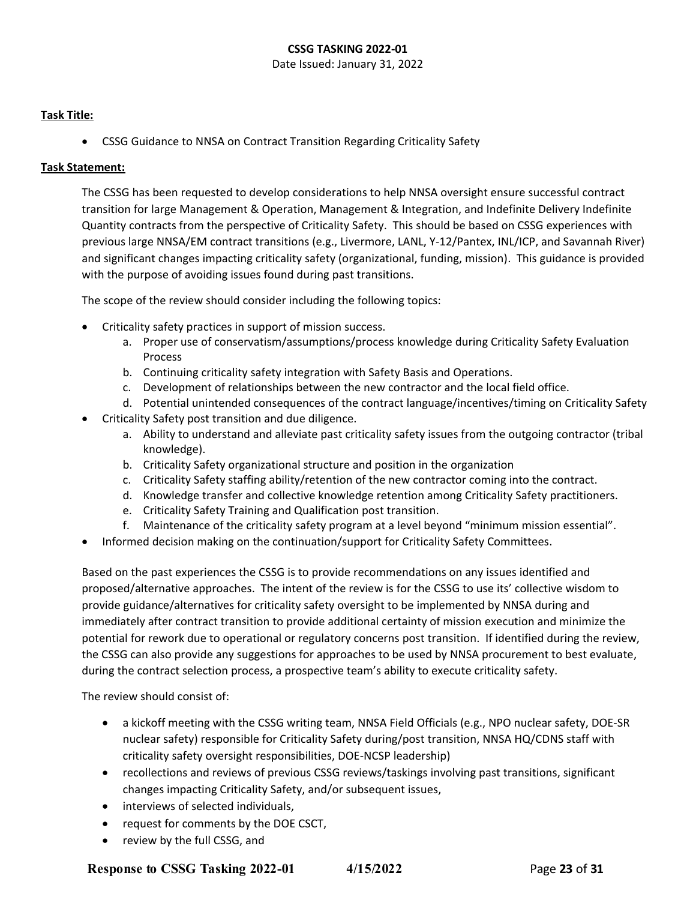#### **CSSG TASKING 2022-01**

Date Issued: January 31, 2022

#### **Task Title:**

• CSSG Guidance to NNSA on Contract Transition Regarding Criticality Safety

#### **Task Statement:**

The CSSG has been requested to develop considerations to help NNSA oversight ensure successful contract transition for large Management & Operation, Management & Integration, and Indefinite Delivery Indefinite Quantity contracts from the perspective of Criticality Safety. This should be based on CSSG experiences with previous large NNSA/EM contract transitions (e.g., Livermore, LANL, Y-12/Pantex, INL/ICP, and Savannah River) and significant changes impacting criticality safety (organizational, funding, mission). This guidance is provided with the purpose of avoiding issues found during past transitions.

The scope of the review should consider including the following topics:

- Criticality safety practices in support of mission success.
	- a. Proper use of conservatism/assumptions/process knowledge during Criticality Safety Evaluation Process
	- b. Continuing criticality safety integration with Safety Basis and Operations.
	- c. Development of relationships between the new contractor and the local field office.
	- d. Potential unintended consequences of the contract language/incentives/timing on Criticality Safety
- Criticality Safety post transition and due diligence.
	- a. Ability to understand and alleviate past criticality safety issues from the outgoing contractor (tribal knowledge).
	- b. Criticality Safety organizational structure and position in the organization
	- c. Criticality Safety staffing ability/retention of the new contractor coming into the contract.
	- d. Knowledge transfer and collective knowledge retention among Criticality Safety practitioners.
	- e. Criticality Safety Training and Qualification post transition.
	- f. Maintenance of the criticality safety program at a level beyond "minimum mission essential".
- Informed decision making on the continuation/support for Criticality Safety Committees.

Based on the past experiences the CSSG is to provide recommendations on any issues identified and proposed/alternative approaches. The intent of the review is for the CSSG to use its' collective wisdom to provide guidance/alternatives for criticality safety oversight to be implemented by NNSA during and immediately after contract transition to provide additional certainty of mission execution and minimize the potential for rework due to operational or regulatory concerns post transition. If identified during the review, the CSSG can also provide any suggestions for approaches to be used by NNSA procurement to best evaluate, during the contract selection process, a prospective team's ability to execute criticality safety.

The review should consist of:

- a kickoff meeting with the CSSG writing team, NNSA Field Officials (e.g., NPO nuclear safety, DOE-SR nuclear safety) responsible for Criticality Safety during/post transition, NNSA HQ/CDNS staff with criticality safety oversight responsibilities, DOE-NCSP leadership)
- recollections and reviews of previous CSSG reviews/taskings involving past transitions, significant changes impacting Criticality Safety, and/or subsequent issues,
- interviews of selected individuals,
- request for comments by the DOE CSCT,
- review by the full CSSG, and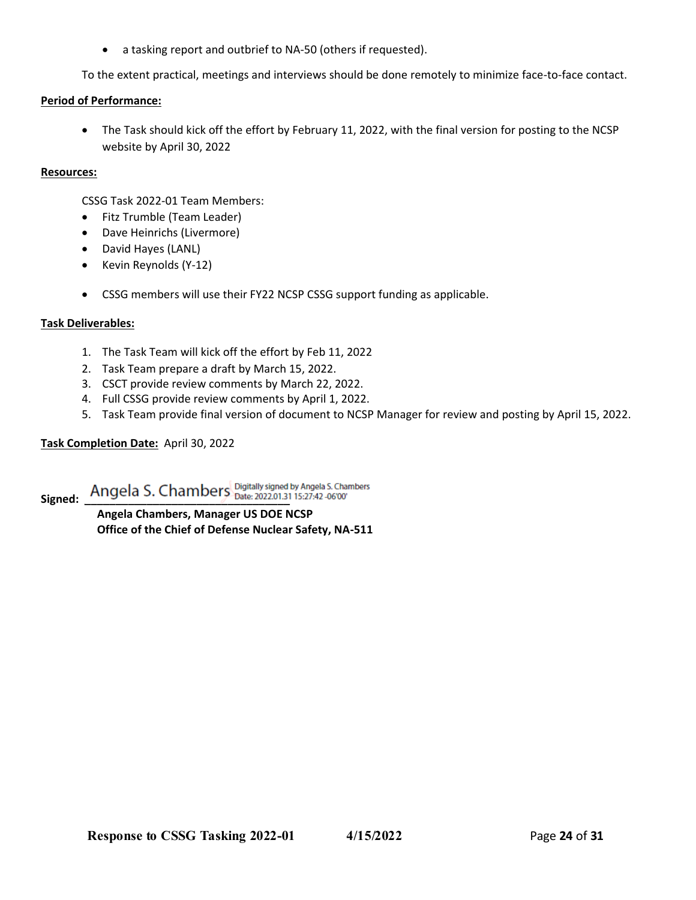• a tasking report and outbrief to NA-50 (others if requested).

To the extent practical, meetings and interviews should be done remotely to minimize face-to-face contact.

#### **Period of Performance:**

• The Task should kick off the effort by February 11, 2022, with the final version for posting to the NCSP website by April 30, 2022

#### **Resources:**

CSSG Task 2022-01 Team Members:

- Fitz Trumble (Team Leader)
- Dave Heinrichs (Livermore)
- David Hayes (LANL)
- Kevin Reynolds (Y-12)
- CSSG members will use their FY22 NCSP CSSG support funding as applicable.

#### **Task Deliverables:**

- 1. The Task Team will kick off the effort by Feb 11, 2022
- 2. Task Team prepare a draft by March 15, 2022.
- 3. CSCT provide review comments by March 22, 2022.
- 4. Full CSSG provide review comments by April 1, 2022.
- 5. Task Team provide final version of document to NCSP Manager for review and posting by April 15, 2022.

#### **Task Completion Date:** April 30, 2022

Signed: <u>Angela S. Chambers</u> Digitally signed by Angela S. Chambers

**Angela Chambers, Manager US DOE NCSP Office of the Chief of Defense Nuclear Safety, NA-511**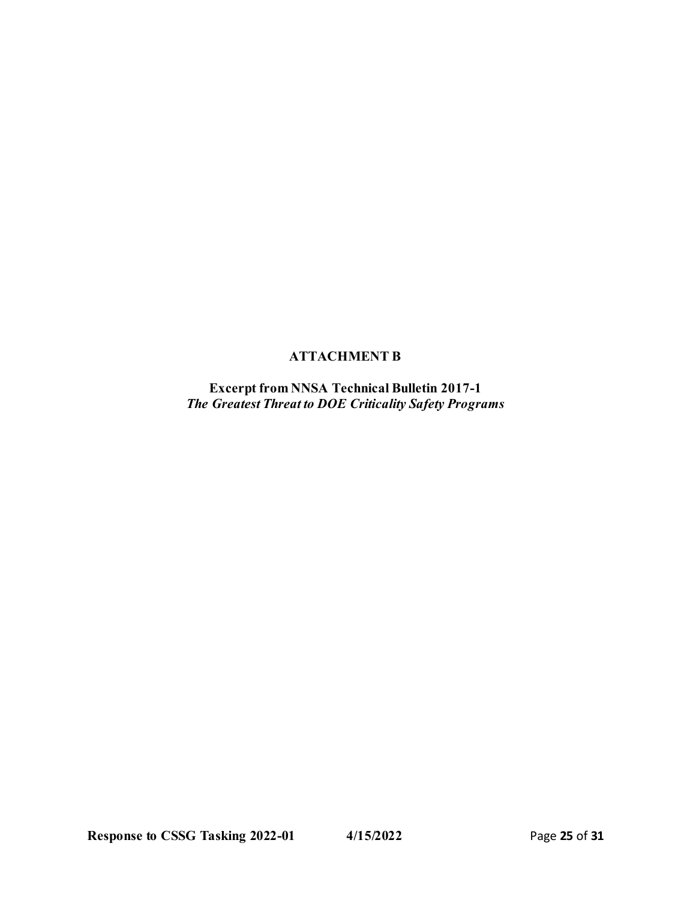# **ATTACHMENT B**

**Excerpt from NNSA Technical Bulletin 2017-1**  *The Greatest Threat to DOE Criticality Safety Programs*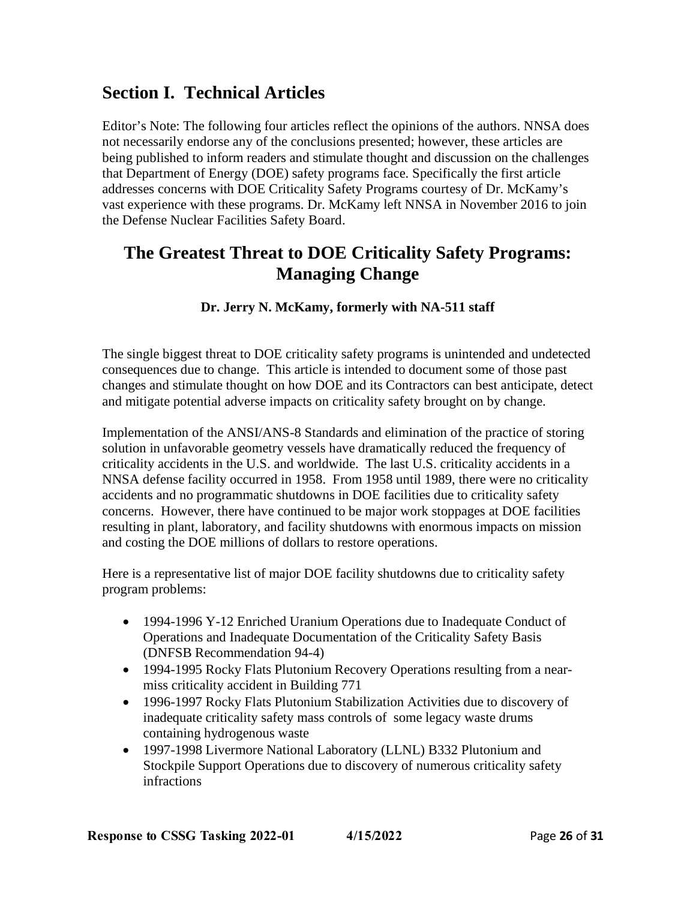# **Section I. Technical Articles**

Editor's Note: The following four articles reflect the opinions of the authors. NNSA does not necessarily endorse any of the conclusions presented; however, these articles are being published to inform readers and stimulate thought and discussion on the challenges that Department of Energy (DOE) safety programs face. Specifically the first article addresses concerns with DOE Criticality Safety Programs courtesy of Dr. McKamy's vast experience with these programs. Dr. McKamy left NNSA in November 2016 to join the Defense Nuclear Facilities Safety Board.

# **The Greatest Threat to DOE Criticality Safety Programs: Managing Change**

# **Dr. Jerry N. McKamy, formerly with NA-511 staff**

The single biggest threat to DOE criticality safety programs is unintended and undetected consequences due to change. This article is intended to document some of those past changes and stimulate thought on how DOE and its Contractors can best anticipate, detect and mitigate potential adverse impacts on criticality safety brought on by change.

Implementation of the ANSI/ANS-8 Standards and elimination of the practice of storing solution in unfavorable geometry vessels have dramatically reduced the frequency of criticality accidents in the U.S. and worldwide. The last U.S. criticality accidents in a NNSA defense facility occurred in 1958. From 1958 until 1989, there were no criticality accidents and no programmatic shutdowns in DOE facilities due to criticality safety concerns. However, there have continued to be major work stoppages at DOE facilities resulting in plant, laboratory, and facility shutdowns with enormous impacts on mission and costing the DOE millions of dollars to restore operations.

Here is a representative list of major DOE facility shutdowns due to criticality safety program problems:

- 1994-1996 Y-12 Enriched Uranium Operations due to Inadequate Conduct of Operations and Inadequate Documentation of the Criticality Safety Basis (DNFSB Recommendation 94-4)
- 1994-1995 Rocky Flats Plutonium Recovery Operations resulting from a nearmiss criticality accident in Building 771
- 1996-1997 Rocky Flats Plutonium Stabilization Activities due to discovery of inadequate criticality safety mass controls of some legacy waste drums containing hydrogenous waste
- 1997-1998 Livermore National Laboratory (LLNL) B332 Plutonium and Stockpile Support Operations due to discovery of numerous criticality safety infractions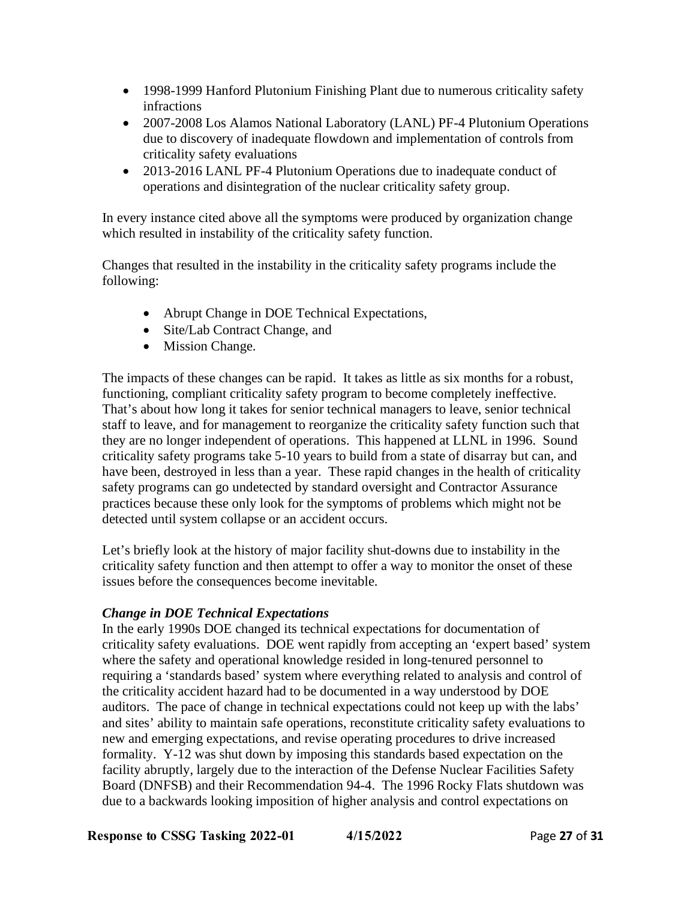- 1998-1999 Hanford Plutonium Finishing Plant due to numerous criticality safety infractions
- 2007-2008 Los Alamos National Laboratory (LANL) PF-4 Plutonium Operations due to discovery of inadequate flowdown and implementation of controls from criticality safety evaluations
- 2013-2016 LANL PF-4 Plutonium Operations due to inadequate conduct of operations and disintegration of the nuclear criticality safety group.

In every instance cited above all the symptoms were produced by organization change which resulted in instability of the criticality safety function.

Changes that resulted in the instability in the criticality safety programs include the following:

- Abrupt Change in DOE Technical Expectations,
- Site/Lab Contract Change, and
- Mission Change.

The impacts of these changes can be rapid. It takes as little as six months for a robust, functioning, compliant criticality safety program to become completely ineffective. That's about how long it takes for senior technical managers to leave, senior technical staff to leave, and for management to reorganize the criticality safety function such that they are no longer independent of operations. This happened at LLNL in 1996. Sound criticality safety programs take 5-10 years to build from a state of disarray but can, and have been, destroyed in less than a year. These rapid changes in the health of criticality safety programs can go undetected by standard oversight and Contractor Assurance practices because these only look for the symptoms of problems which might not be detected until system collapse or an accident occurs.

Let's briefly look at the history of major facility shut-downs due to instability in the criticality safety function and then attempt to offer a way to monitor the onset of these issues before the consequences become inevitable.

# *Change in DOE Technical Expectations*

In the early 1990s DOE changed its technical expectations for documentation of criticality safety evaluations. DOE went rapidly from accepting an 'expert based' system where the safety and operational knowledge resided in long-tenured personnel to requiring a 'standards based' system where everything related to analysis and control of the criticality accident hazard had to be documented in a way understood by DOE auditors. The pace of change in technical expectations could not keep up with the labs' and sites' ability to maintain safe operations, reconstitute criticality safety evaluations to new and emerging expectations, and revise operating procedures to drive increased formality. Y-12 was shut down by imposing this standards based expectation on the facility abruptly, largely due to the interaction of the Defense Nuclear Facilities Safety Board (DNFSB) and their Recommendation 94-4. The 1996 Rocky Flats shutdown was due to a backwards looking imposition of higher analysis and control expectations on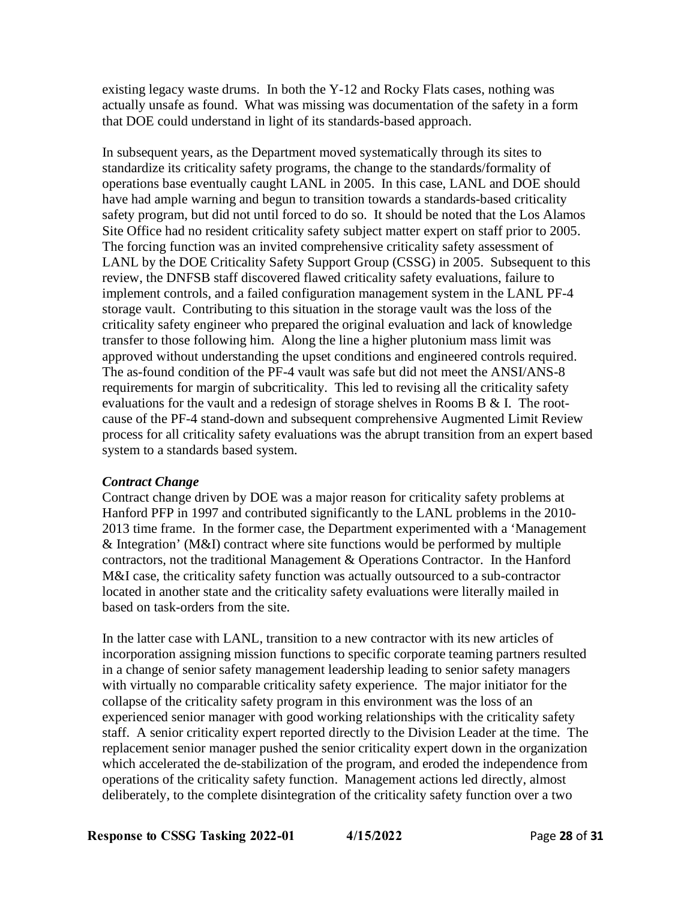existing legacy waste drums. In both the Y-12 and Rocky Flats cases, nothing was actually unsafe as found. What was missing was documentation of the safety in a form that DOE could understand in light of its standards-based approach.

In subsequent years, as the Department moved systematically through its sites to standardize its criticality safety programs, the change to the standards/formality of operations base eventually caught LANL in 2005. In this case, LANL and DOE should have had ample warning and begun to transition towards a standards-based criticality safety program, but did not until forced to do so. It should be noted that the Los Alamos Site Office had no resident criticality safety subject matter expert on staff prior to 2005. The forcing function was an invited comprehensive criticality safety assessment of LANL by the DOE Criticality Safety Support Group (CSSG) in 2005. Subsequent to this review, the DNFSB staff discovered flawed criticality safety evaluations, failure to implement controls, and a failed configuration management system in the LANL PF-4 storage vault. Contributing to this situation in the storage vault was the loss of the criticality safety engineer who prepared the original evaluation and lack of knowledge transfer to those following him. Along the line a higher plutonium mass limit was approved without understanding the upset conditions and engineered controls required. The as-found condition of the PF-4 vault was safe but did not meet the ANSI/ANS-8 requirements for margin of subcriticality. This led to revising all the criticality safety evaluations for the vault and a redesign of storage shelves in Rooms B  $\&$  I. The rootcause of the PF-4 stand-down and subsequent comprehensive Augmented Limit Review process for all criticality safety evaluations was the abrupt transition from an expert based system to a standards based system.

# *Contract Change*

Contract change driven by DOE was a major reason for criticality safety problems at Hanford PFP in 1997 and contributed significantly to the LANL problems in the 2010- 2013 time frame. In the former case, the Department experimented with a 'Management & Integration' (M&I) contract where site functions would be performed by multiple contractors, not the traditional Management & Operations Contractor. In the Hanford M&I case, the criticality safety function was actually outsourced to a sub-contractor located in another state and the criticality safety evaluations were literally mailed in based on task-orders from the site.

In the latter case with LANL, transition to a new contractor with its new articles of incorporation assigning mission functions to specific corporate teaming partners resulted in a change of senior safety management leadership leading to senior safety managers with virtually no comparable criticality safety experience. The major initiator for the collapse of the criticality safety program in this environment was the loss of an experienced senior manager with good working relationships with the criticality safety staff. A senior criticality expert reported directly to the Division Leader at the time. The replacement senior manager pushed the senior criticality expert down in the organization which accelerated the de-stabilization of the program, and eroded the independence from operations of the criticality safety function. Management actions led directly, almost deliberately, to the complete disintegration of the criticality safety function over a two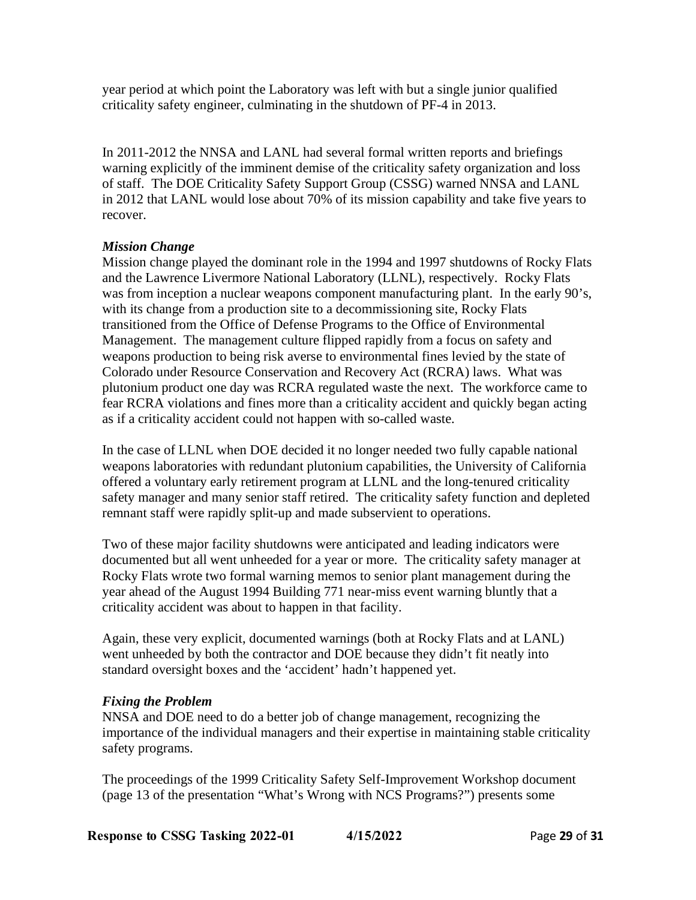year period at which point the Laboratory was left with but a single junior qualified criticality safety engineer, culminating in the shutdown of PF-4 in 2013.

In 2011-2012 the NNSA and LANL had several formal written reports and briefings warning explicitly of the imminent demise of the criticality safety organization and loss of staff. The DOE Criticality Safety Support Group (CSSG) warned NNSA and LANL in 2012 that LANL would lose about 70% of its mission capability and take five years to recover.

## *Mission Change*

Mission change played the dominant role in the 1994 and 1997 shutdowns of Rocky Flats and the Lawrence Livermore National Laboratory (LLNL), respectively. Rocky Flats was from inception a nuclear weapons component manufacturing plant. In the early 90's, with its change from a production site to a decommissioning site, Rocky Flats transitioned from the Office of Defense Programs to the Office of Environmental Management. The management culture flipped rapidly from a focus on safety and weapons production to being risk averse to environmental fines levied by the state of Colorado under Resource Conservation and Recovery Act (RCRA) laws. What was plutonium product one day was RCRA regulated waste the next. The workforce came to fear RCRA violations and fines more than a criticality accident and quickly began acting as if a criticality accident could not happen with so-called waste.

In the case of LLNL when DOE decided it no longer needed two fully capable national weapons laboratories with redundant plutonium capabilities, the University of California offered a voluntary early retirement program at LLNL and the long-tenured criticality safety manager and many senior staff retired. The criticality safety function and depleted remnant staff were rapidly split-up and made subservient to operations.

Two of these major facility shutdowns were anticipated and leading indicators were documented but all went unheeded for a year or more. The criticality safety manager at Rocky Flats wrote two formal warning memos to senior plant management during the year ahead of the August 1994 Building 771 near-miss event warning bluntly that a criticality accident was about to happen in that facility.

Again, these very explicit, documented warnings (both at Rocky Flats and at LANL) went unheeded by both the contractor and DOE because they didn't fit neatly into standard oversight boxes and the 'accident' hadn't happened yet.

### *Fixing the Problem*

NNSA and DOE need to do a better job of change management, recognizing the importance of the individual managers and their expertise in maintaining stable criticality safety programs.

The proceedings of the 1999 Criticality Safety Self-Improvement Workshop document (page 13 of the presentation "What's Wrong with NCS Programs?") presents some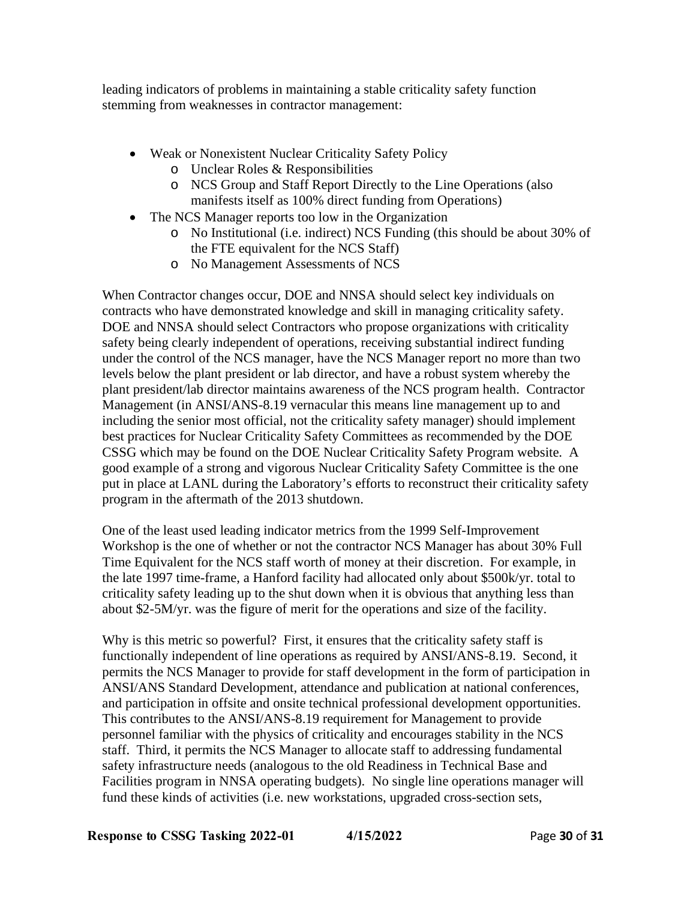leading indicators of problems in maintaining a stable criticality safety function stemming from weaknesses in contractor management:

- Weak or Nonexistent Nuclear Criticality Safety Policy
	- o Unclear Roles & Responsibilities
	- o NCS Group and Staff Report Directly to the Line Operations (also manifests itself as 100% direct funding from Operations)
- The NCS Manager reports too low in the Organization
	- o No Institutional (i.e. indirect) NCS Funding (this should be about 30% of the FTE equivalent for the NCS Staff)
	- o No Management Assessments of NCS

When Contractor changes occur, DOE and NNSA should select key individuals on contracts who have demonstrated knowledge and skill in managing criticality safety. DOE and NNSA should select Contractors who propose organizations with criticality safety being clearly independent of operations, receiving substantial indirect funding under the control of the NCS manager, have the NCS Manager report no more than two levels below the plant president or lab director, and have a robust system whereby the plant president/lab director maintains awareness of the NCS program health. Contractor Management (in ANSI/ANS-8.19 vernacular this means line management up to and including the senior most official, not the criticality safety manager) should implement best practices for Nuclear Criticality Safety Committees as recommended by the DOE CSSG which may be found on the DOE Nuclear Criticality Safety Program website. A good example of a strong and vigorous Nuclear Criticality Safety Committee is the one put in place at LANL during the Laboratory's efforts to reconstruct their criticality safety program in the aftermath of the 2013 shutdown.

One of the least used leading indicator metrics from the 1999 Self-Improvement Workshop is the one of whether or not the contractor NCS Manager has about 30% Full Time Equivalent for the NCS staff worth of money at their discretion. For example, in the late 1997 time-frame, a Hanford facility had allocated only about \$500k/yr. total to criticality safety leading up to the shut down when it is obvious that anything less than about \$2-5M/yr. was the figure of merit for the operations and size of the facility.

Why is this metric so powerful? First, it ensures that the criticality safety staff is functionally independent of line operations as required by ANSI/ANS-8.19. Second, it permits the NCS Manager to provide for staff development in the form of participation in ANSI/ANS Standard Development, attendance and publication at national conferences, and participation in offsite and onsite technical professional development opportunities. This contributes to the ANSI/ANS-8.19 requirement for Management to provide personnel familiar with the physics of criticality and encourages stability in the NCS staff. Third, it permits the NCS Manager to allocate staff to addressing fundamental safety infrastructure needs (analogous to the old Readiness in Technical Base and Facilities program in NNSA operating budgets). No single line operations manager will fund these kinds of activities (i.e. new workstations, upgraded cross-section sets,